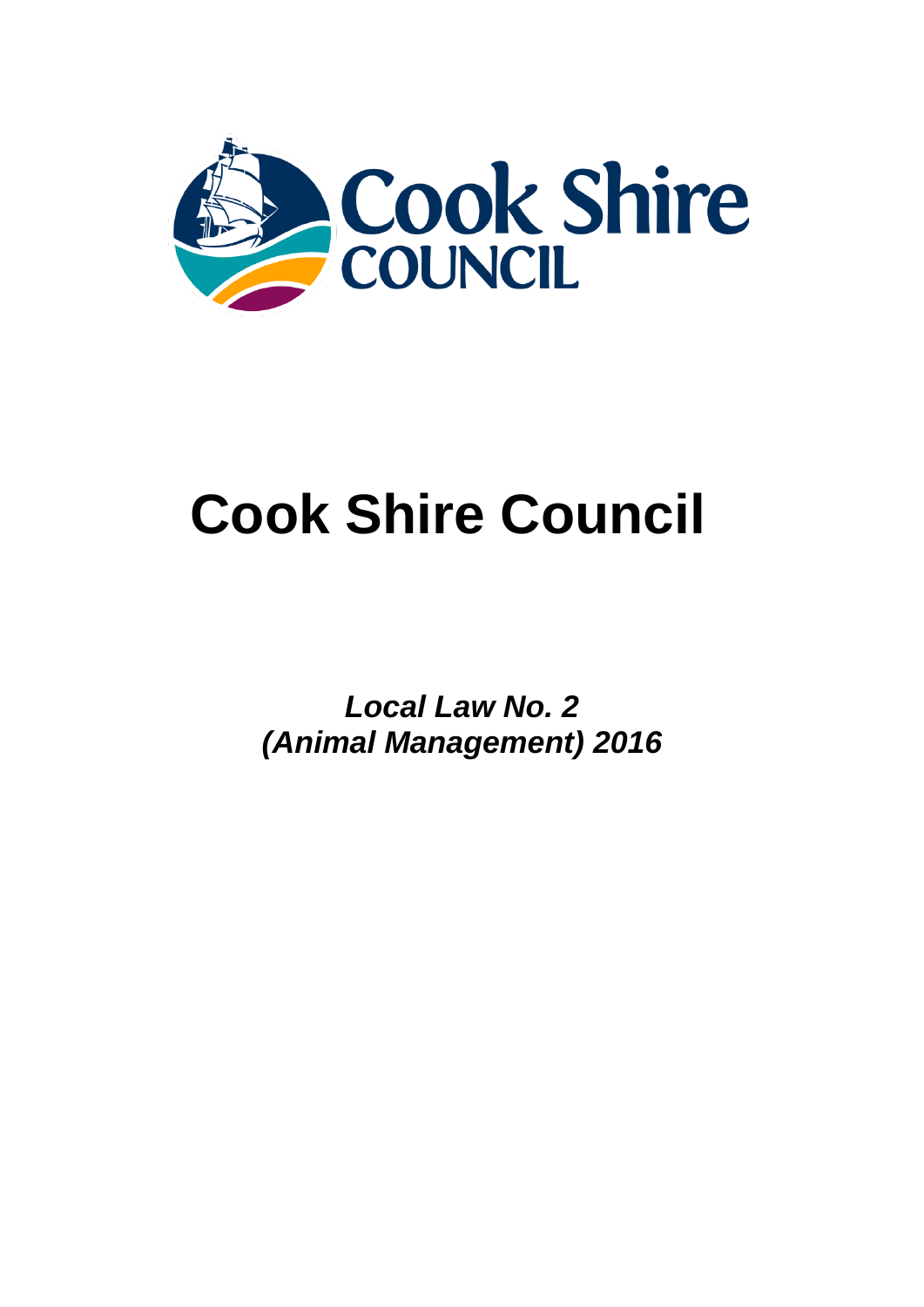

# **Cook Shire Council**

*Local Law No. 2 (Animal Management) 2016*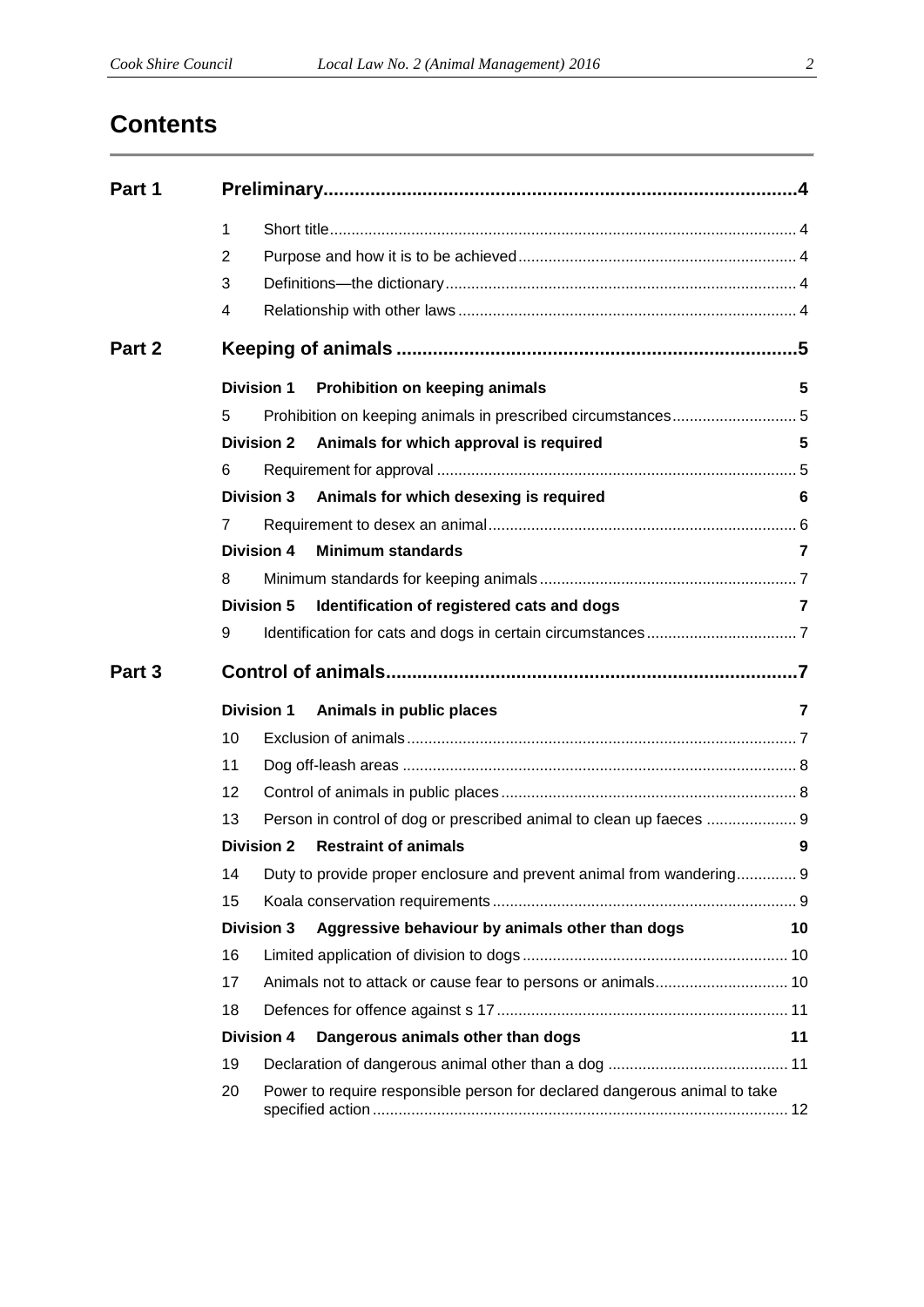# **Contents**

| Part 1            |                                                                 |                                                                     |                                                                           |    |  |  |  |
|-------------------|-----------------------------------------------------------------|---------------------------------------------------------------------|---------------------------------------------------------------------------|----|--|--|--|
|                   | 1                                                               |                                                                     |                                                                           |    |  |  |  |
|                   | 2                                                               |                                                                     |                                                                           |    |  |  |  |
|                   | 3                                                               |                                                                     |                                                                           |    |  |  |  |
|                   | 4                                                               |                                                                     |                                                                           |    |  |  |  |
| Part <sub>2</sub> |                                                                 |                                                                     |                                                                           |    |  |  |  |
|                   | <b>Division 1</b>                                               |                                                                     | Prohibition on keeping animals                                            |    |  |  |  |
|                   | 5                                                               |                                                                     | Prohibition on keeping animals in prescribed circumstances 5              |    |  |  |  |
|                   |                                                                 | <b>Division 2</b>                                                   | Animals for which approval is required                                    | 5  |  |  |  |
|                   | 6                                                               |                                                                     |                                                                           |    |  |  |  |
|                   | <b>Division 3</b>                                               |                                                                     | Animals for which desexing is required                                    | 6  |  |  |  |
|                   | 7                                                               |                                                                     |                                                                           |    |  |  |  |
|                   |                                                                 | <b>Division 4</b>                                                   | <b>Minimum standards</b>                                                  | 7  |  |  |  |
|                   | 8                                                               |                                                                     |                                                                           |    |  |  |  |
|                   | <b>Division 5</b><br>Identification of registered cats and dogs |                                                                     |                                                                           |    |  |  |  |
|                   | 9                                                               |                                                                     |                                                                           |    |  |  |  |
| Part 3            |                                                                 |                                                                     |                                                                           |    |  |  |  |
|                   |                                                                 | <b>Division 1</b>                                                   | Animals in public places                                                  | 7  |  |  |  |
|                   | 10                                                              |                                                                     |                                                                           |    |  |  |  |
|                   | 11                                                              |                                                                     |                                                                           |    |  |  |  |
|                   | 12                                                              |                                                                     |                                                                           |    |  |  |  |
|                   | 13                                                              | Person in control of dog or prescribed animal to clean up faeces  9 |                                                                           |    |  |  |  |
|                   |                                                                 | <b>Division 2</b>                                                   | <b>Restraint of animals</b>                                               | 9  |  |  |  |
|                   | 14                                                              |                                                                     | Duty to provide proper enclosure and prevent animal from wandering 9      |    |  |  |  |
|                   | 15                                                              |                                                                     |                                                                           |    |  |  |  |
|                   |                                                                 | <b>Division 3</b>                                                   | Aggressive behaviour by animals other than dogs                           | 10 |  |  |  |
|                   | 16                                                              |                                                                     |                                                                           |    |  |  |  |
|                   | 17                                                              |                                                                     |                                                                           |    |  |  |  |
|                   | 18                                                              |                                                                     |                                                                           |    |  |  |  |
|                   | <b>Division 4</b><br>Dangerous animals other than dogs          |                                                                     |                                                                           |    |  |  |  |
|                   | 19                                                              |                                                                     |                                                                           |    |  |  |  |
|                   | 20                                                              |                                                                     | Power to require responsible person for declared dangerous animal to take |    |  |  |  |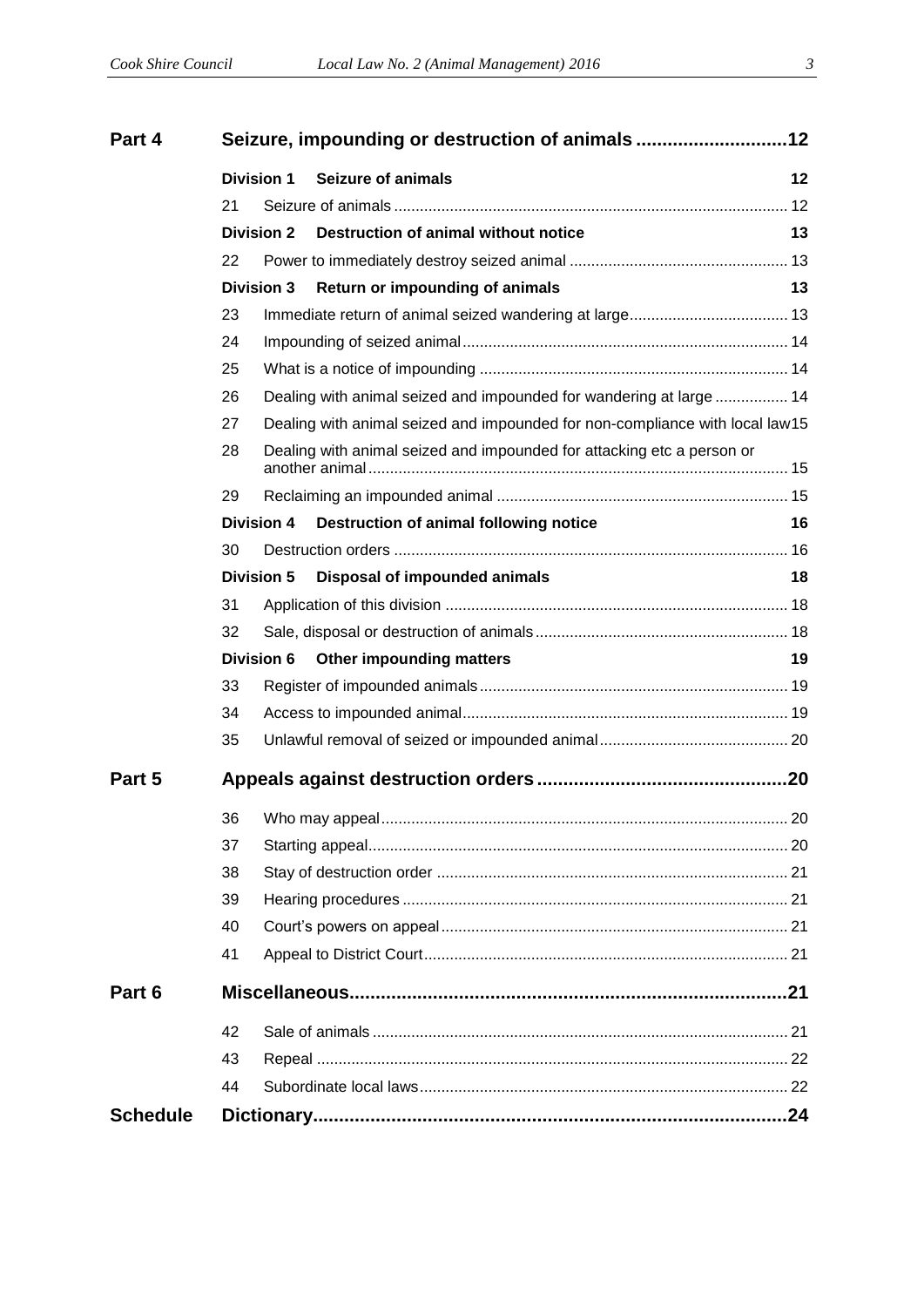| Part 4          | Seizure, impounding or destruction of animals 12 |                                                                              |                                        |    |  |  |  |
|-----------------|--------------------------------------------------|------------------------------------------------------------------------------|----------------------------------------|----|--|--|--|
|                 | <b>Seizure of animals</b><br><b>Division 1</b>   |                                                                              |                                        |    |  |  |  |
|                 | 21                                               |                                                                              |                                        |    |  |  |  |
|                 |                                                  | <b>Division 2</b>                                                            | Destruction of animal without notice   | 13 |  |  |  |
|                 | 22                                               |                                                                              |                                        |    |  |  |  |
|                 |                                                  | <b>Division 3</b>                                                            | Return or impounding of animals        | 13 |  |  |  |
|                 | 23                                               |                                                                              |                                        |    |  |  |  |
|                 | 24                                               |                                                                              |                                        |    |  |  |  |
|                 | 25                                               |                                                                              |                                        |    |  |  |  |
|                 | 26                                               | Dealing with animal seized and impounded for wandering at large  14          |                                        |    |  |  |  |
|                 | 27                                               | Dealing with animal seized and impounded for non-compliance with local law15 |                                        |    |  |  |  |
|                 | 28                                               | Dealing with animal seized and impounded for attacking etc a person or       |                                        |    |  |  |  |
|                 | 29                                               |                                                                              |                                        |    |  |  |  |
|                 |                                                  | <b>Division 4</b>                                                            | Destruction of animal following notice | 16 |  |  |  |
|                 | 30                                               |                                                                              |                                        |    |  |  |  |
|                 |                                                  | <b>Division 5</b>                                                            | Disposal of impounded animals          | 18 |  |  |  |
|                 | 31                                               |                                                                              |                                        |    |  |  |  |
|                 | 32                                               |                                                                              |                                        |    |  |  |  |
|                 |                                                  | <b>Division 6</b>                                                            | <b>Other impounding matters</b>        | 19 |  |  |  |
|                 | 33                                               |                                                                              |                                        |    |  |  |  |
|                 | 34                                               |                                                                              |                                        |    |  |  |  |
|                 | 35                                               |                                                                              |                                        |    |  |  |  |
| Part 5          |                                                  |                                                                              |                                        |    |  |  |  |
|                 | 36.<br>Who may appeal                            |                                                                              |                                        |    |  |  |  |
|                 | 37                                               |                                                                              |                                        |    |  |  |  |
|                 | 38                                               |                                                                              |                                        |    |  |  |  |
|                 | 39                                               |                                                                              |                                        |    |  |  |  |
|                 | 40                                               |                                                                              |                                        |    |  |  |  |
|                 | 41                                               |                                                                              |                                        |    |  |  |  |
| Part 6          |                                                  |                                                                              |                                        |    |  |  |  |
|                 | 42                                               |                                                                              |                                        |    |  |  |  |
|                 | 43                                               |                                                                              |                                        |    |  |  |  |
|                 | 44                                               |                                                                              |                                        |    |  |  |  |
| <b>Schedule</b> |                                                  |                                                                              |                                        |    |  |  |  |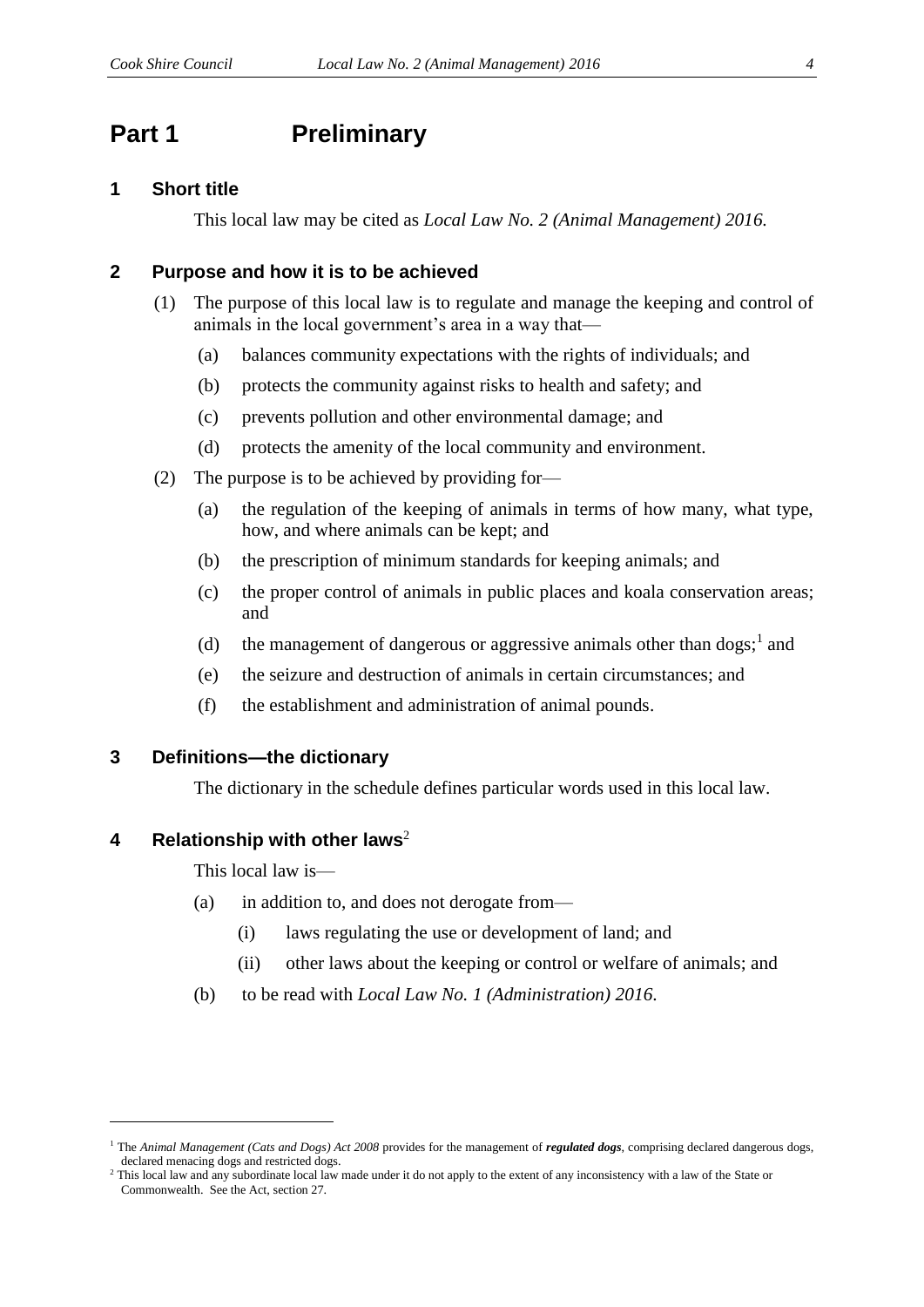# <span id="page-3-0"></span>**Part 1 Preliminary**

#### <span id="page-3-1"></span>**1 Short title**

This local law may be cited as *Local Law No. 2 (Animal Management) 2016.*

#### <span id="page-3-2"></span>**2 Purpose and how it is to be achieved**

- (1) The purpose of this local law is to regulate and manage the keeping and control of animals in the local government's area in a way that—
	- (a) balances community expectations with the rights of individuals; and
	- (b) protects the community against risks to health and safety; and
	- (c) prevents pollution and other environmental damage; and
	- (d) protects the amenity of the local community and environment.
- (2) The purpose is to be achieved by providing for—
	- (a) the regulation of the keeping of animals in terms of how many, what type, how, and where animals can be kept; and
	- (b) the prescription of minimum standards for keeping animals; and
	- (c) the proper control of animals in public places and koala conservation areas; and
	- (d) the management of dangerous or aggressive animals other than dogs;<sup>1</sup> and
	- (e) the seizure and destruction of animals in certain circumstances; and
	- (f) the establishment and administration of animal pounds.

#### <span id="page-3-3"></span>**3 Definitions—the dictionary**

The dictionary in the schedule defines particular words used in this local law.

#### <span id="page-3-4"></span>**4 Relationship with other laws**<sup>2</sup>

This local law is—

- (a) in addition to, and does not derogate from—
	- (i) laws regulating the use or development of land; and
	- (ii) other laws about the keeping or control or welfare of animals; and
- (b) to be read with *Local Law No. 1 (Administration) 2016*.

<sup>1</sup> The *Animal Management (Cats and Dogs) Act 2008* provides for the management of *regulated dogs*, comprising declared dangerous dogs, declared menacing dogs and restricted dogs.

<sup>&</sup>lt;sup>2</sup> This local law and any subordinate local law made under it do not apply to the extent of any inconsistency with a law of the State or Commonwealth. See the Act, section 27.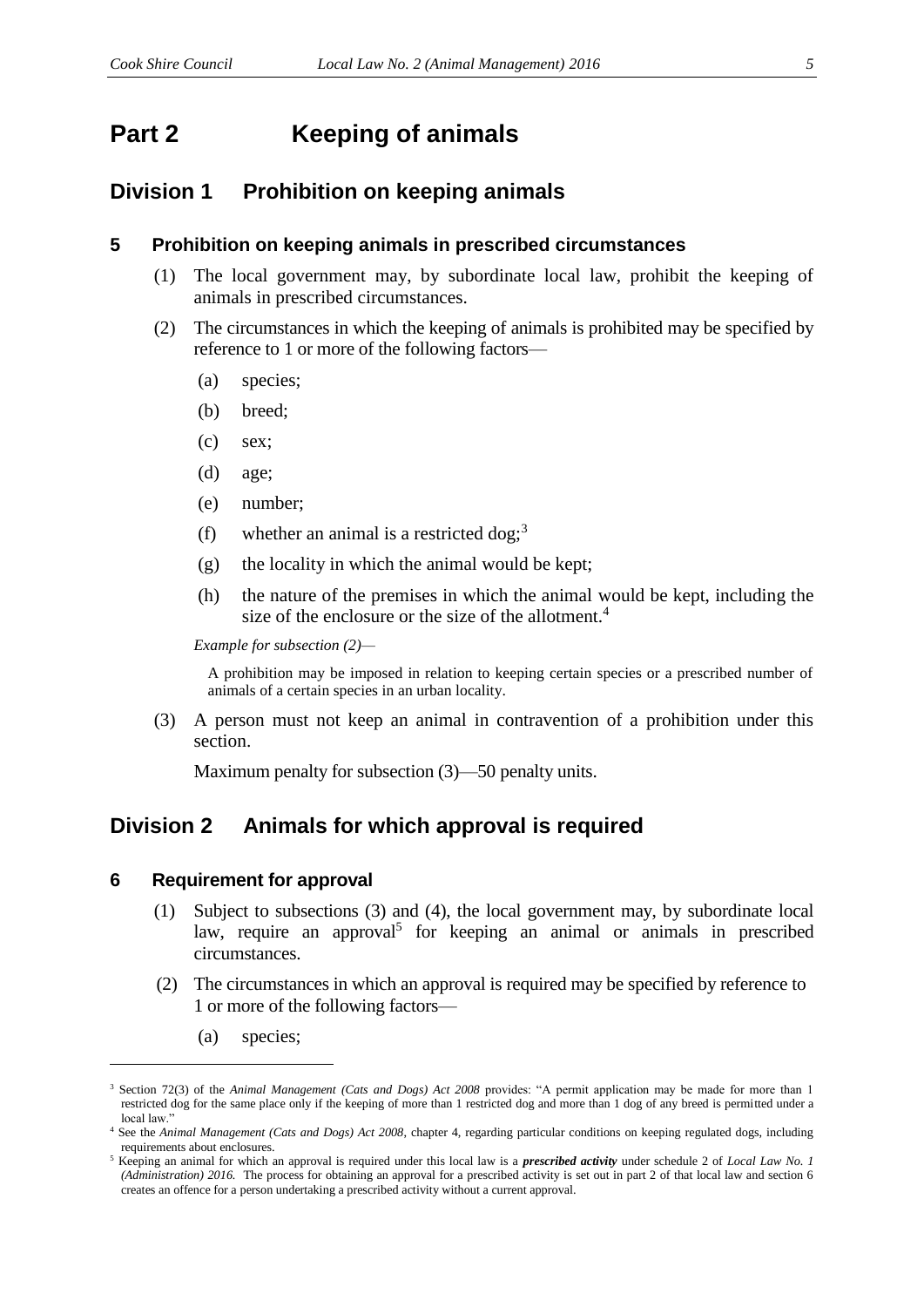# <span id="page-4-0"></span>**Part 2 Keeping of animals**

## <span id="page-4-1"></span>**Division 1 Prohibition on keeping animals**

#### <span id="page-4-2"></span>**5 Prohibition on keeping animals in prescribed circumstances**

- (1) The local government may, by subordinate local law, prohibit the keeping of animals in prescribed circumstances.
- (2) The circumstances in which the keeping of animals is prohibited may be specified by reference to 1 or more of the following factors—
	- (a) species;
	- (b) breed;
	- (c) sex;
	- (d) age;
	- (e) number;
	- (f) whether an animal is a restricted dog;<sup>3</sup>
	- (g) the locality in which the animal would be kept;
	- (h) the nature of the premises in which the animal would be kept, including the size of the enclosure or the size of the allotment.<sup>4</sup>

*Example for subsection (2)—*

A prohibition may be imposed in relation to keeping certain species or a prescribed number of animals of a certain species in an urban locality.

(3) A person must not keep an animal in contravention of a prohibition under this section.

Maximum penalty for subsection (3)—50 penalty units.

# <span id="page-4-3"></span>**Division 2 Animals for which approval is required**

#### <span id="page-4-4"></span>**6 Requirement for approval**

- (1) Subject to subsections (3) and (4), the local government may, by subordinate local law, require an approval<sup>5</sup> for keeping an animal or animals in prescribed circumstances.
- (2) The circumstances in which an approval is required may be specified by reference to 1 or more of the following factors—
	- (a) species;

<sup>3</sup> Section 72(3) of the *Animal Management (Cats and Dogs) Act 2008* provides: "A permit application may be made for more than 1 restricted dog for the same place only if the keeping of more than 1 restricted dog and more than 1 dog of any breed is permitted under a local law."

<sup>4</sup> See the *Animal Management (Cats and Dogs) Act 2008*, chapter 4, regarding particular conditions on keeping regulated dogs, including requirements about enclosures.

<sup>5</sup> Keeping an animal for which an approval is required under this local law is a *prescribed activity* under schedule 2 of *Local Law No. 1 (Administration) 2016.* The process for obtaining an approval for a prescribed activity is set out in part 2 of that local law and section 6 creates an offence for a person undertaking a prescribed activity without a current approval.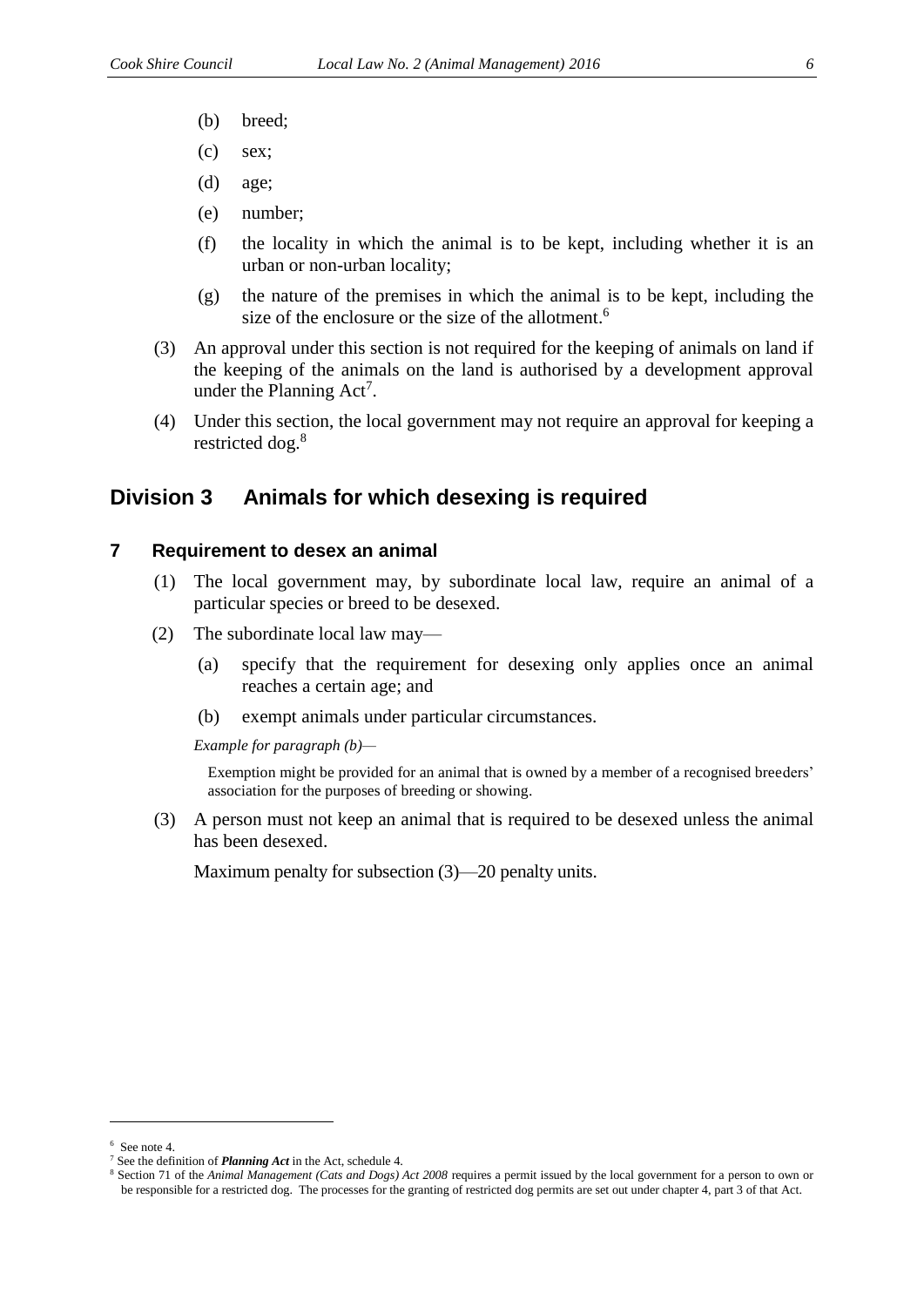- (b) breed;
- (c) sex;
- (d) age;
- (e) number;
- (f) the locality in which the animal is to be kept, including whether it is an urban or non-urban locality;
- (g) the nature of the premises in which the animal is to be kept, including the size of the enclosure or the size of the allotment. 6
- (3) An approval under this section is not required for the keeping of animals on land if the keeping of the animals on the land is authorised by a development approval under the Planning Act<sup>7</sup>.
- (4) Under this section, the local government may not require an approval for keeping a restricted dog. 8

## <span id="page-5-0"></span>**Division 3 Animals for which desexing is required**

#### <span id="page-5-1"></span>**7 Requirement to desex an animal**

- (1) The local government may, by subordinate local law, require an animal of a particular species or breed to be desexed.
- (2) The subordinate local law may—
	- (a) specify that the requirement for desexing only applies once an animal reaches a certain age; and
	- (b) exempt animals under particular circumstances.

*Example for paragraph (b)—*

Exemption might be provided for an animal that is owned by a member of a recognised breeders' association for the purposes of breeding or showing.

(3) A person must not keep an animal that is required to be desexed unless the animal has been desexed.

Maximum penalty for subsection (3)—20 penalty units.

<sup>6</sup> See note 4.

<sup>7</sup> See the definition of *Planning Act* in the Act, schedule 4.

<sup>8</sup> Section 71 of the *Animal Management (Cats and Dogs) Act 2008* requires a permit issued by the local government for a person to own or be responsible for a restricted dog. The processes for the granting of restricted dog permits are set out under chapter 4, part 3 of that Act.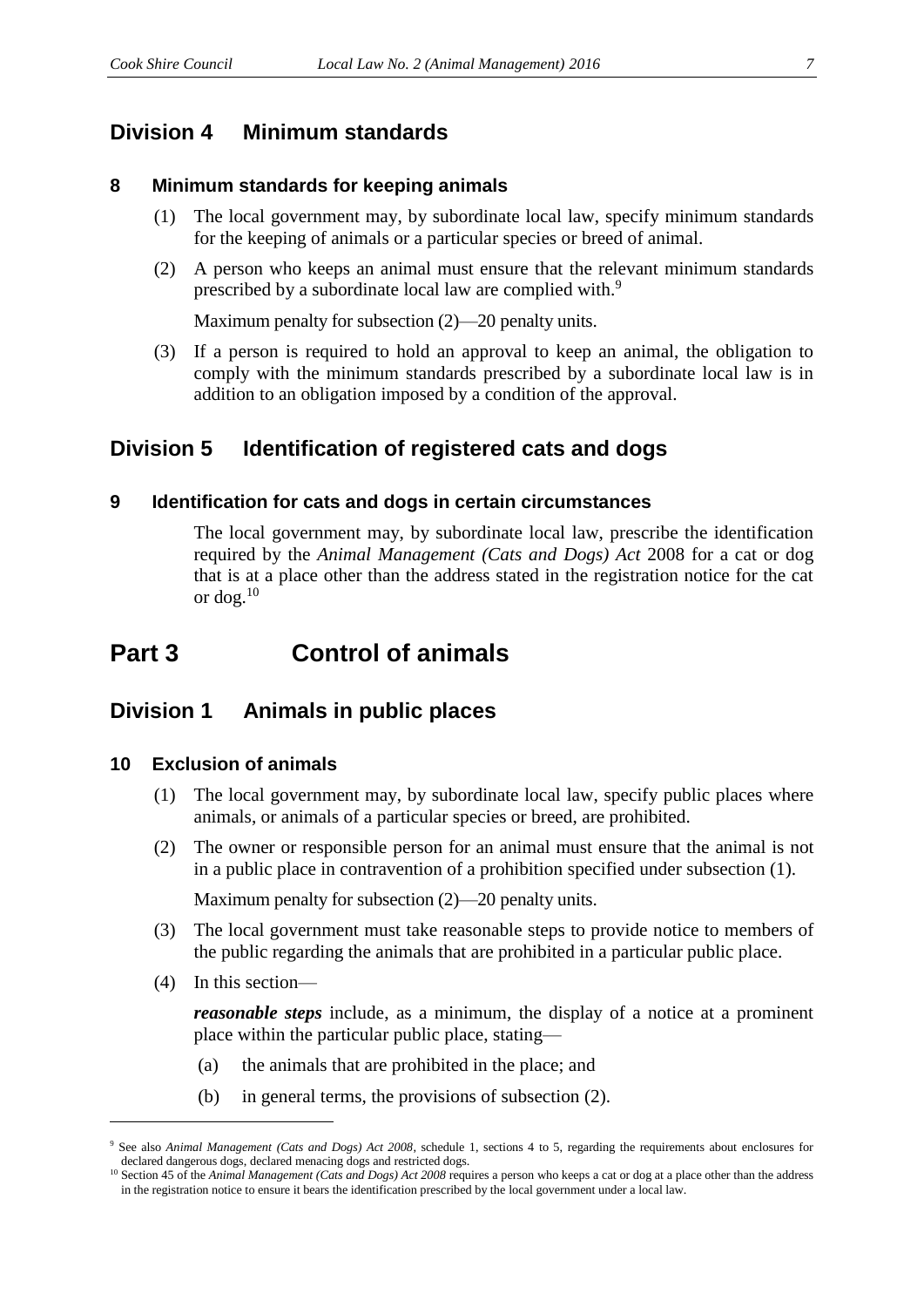## <span id="page-6-0"></span>**Division 4 Minimum standards**

#### <span id="page-6-1"></span>**8 Minimum standards for keeping animals**

- (1) The local government may, by subordinate local law, specify minimum standards for the keeping of animals or a particular species or breed of animal.
- (2) A person who keeps an animal must ensure that the relevant minimum standards prescribed by a subordinate local law are complied with.<sup>9</sup>

Maximum penalty for subsection (2)—20 penalty units.

(3) If a person is required to hold an approval to keep an animal, the obligation to comply with the minimum standards prescribed by a subordinate local law is in addition to an obligation imposed by a condition of the approval.

## <span id="page-6-2"></span>**Division 5 Identification of registered cats and dogs**

#### <span id="page-6-3"></span>**9 Identification for cats and dogs in certain circumstances**

The local government may, by subordinate local law, prescribe the identification required by the *Animal Management (Cats and Dogs) Act* 2008 for a cat or dog that is at a place other than the address stated in the registration notice for the cat or dog.<sup>10</sup>

# <span id="page-6-4"></span>**Part 3 Control of animals**

### <span id="page-6-5"></span>**Division 1 Animals in public places**

#### <span id="page-6-6"></span>**10 Exclusion of animals**

- (1) The local government may, by subordinate local law, specify public places where animals, or animals of a particular species or breed, are prohibited.
- (2) The owner or responsible person for an animal must ensure that the animal is not in a public place in contravention of a prohibition specified under subsection (1).

Maximum penalty for subsection (2)—20 penalty units.

- (3) The local government must take reasonable steps to provide notice to members of the public regarding the animals that are prohibited in a particular public place.
- (4) In this section—

 $\overline{a}$ 

*reasonable steps* include, as a minimum, the display of a notice at a prominent place within the particular public place, stating—

- (a) the animals that are prohibited in the place; and
- (b) in general terms, the provisions of subsection (2).

<sup>9</sup> See also *Animal Management (Cats and Dogs) Act 2008*, schedule 1, sections 4 to 5, regarding the requirements about enclosures for declared dangerous dogs, declared menacing dogs and restricted dogs.

<sup>&</sup>lt;sup>10</sup> Section 45 of the *Animal Management (Cats and Dogs) Act 2008* requires a person who keeps a cat or dog at a place other than the address in the registration notice to ensure it bears the identification prescribed by the local government under a local law.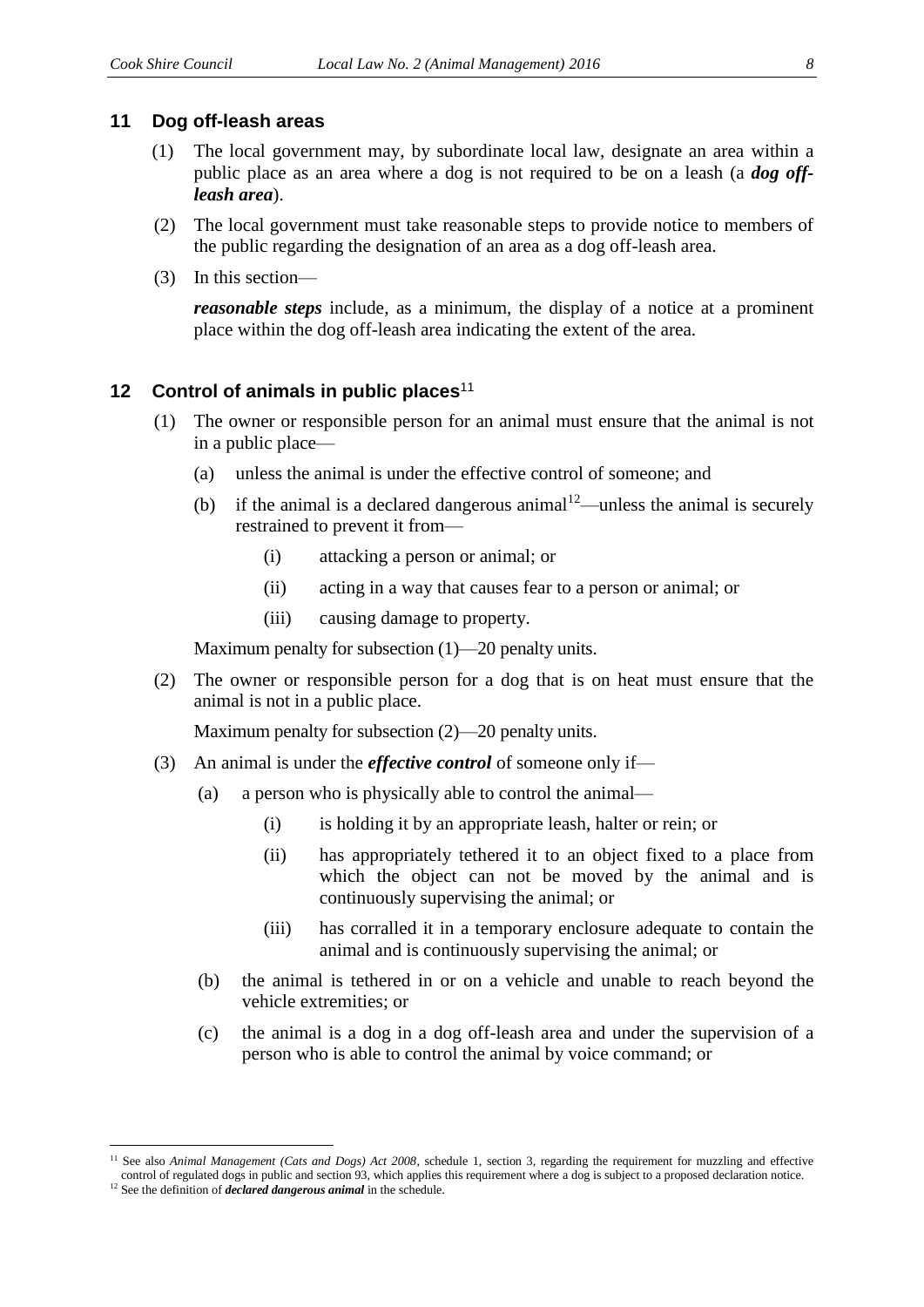#### <span id="page-7-0"></span>**11 Dog off-leash areas**

- (1) The local government may, by subordinate local law, designate an area within a public place as an area where a dog is not required to be on a leash (a *dog offleash area*).
- (2) The local government must take reasonable steps to provide notice to members of the public regarding the designation of an area as a dog off-leash area.
- (3) In this section—

*reasonable steps* include, as a minimum, the display of a notice at a prominent place within the dog off-leash area indicating the extent of the area.

#### <span id="page-7-1"></span>**12 Control of animals in public places**<sup>11</sup>

- (1) The owner or responsible person for an animal must ensure that the animal is not in a public place—
	- (a) unless the animal is under the effective control of someone; and
	- (b) if the animal is a declared dangerous animal<sup>12</sup>—unless the animal is securely restrained to prevent it from—
		- (i) attacking a person or animal; or
		- (ii) acting in a way that causes fear to a person or animal; or
		- (iii) causing damage to property.

Maximum penalty for subsection (1)—20 penalty units.

(2) The owner or responsible person for a dog that is on heat must ensure that the animal is not in a public place.

Maximum penalty for subsection (2)—20 penalty units.

- (3) An animal is under the *effective control* of someone only if—
	- (a) a person who is physically able to control the animal—
		- (i) is holding it by an appropriate leash, halter or rein; or
		- (ii) has appropriately tethered it to an object fixed to a place from which the object can not be moved by the animal and is continuously supervising the animal; or
		- (iii) has corralled it in a temporary enclosure adequate to contain the animal and is continuously supervising the animal; or
	- (b) the animal is tethered in or on a vehicle and unable to reach beyond the vehicle extremities; or
	- (c) the animal is a dog in a dog off-leash area and under the supervision of a person who is able to control the animal by voice command; or

<sup>&</sup>lt;sup>11</sup> See also *Animal Management (Cats and Dogs) Act 2008*, schedule 1, section 3, regarding the requirement for muzzling and effective control of regulated dogs in public and section 93, which applies this requirement where a dog is subject to a proposed declaration notice.

<sup>&</sup>lt;sup>12</sup> See the definition of *declared dangerous animal* in the schedule.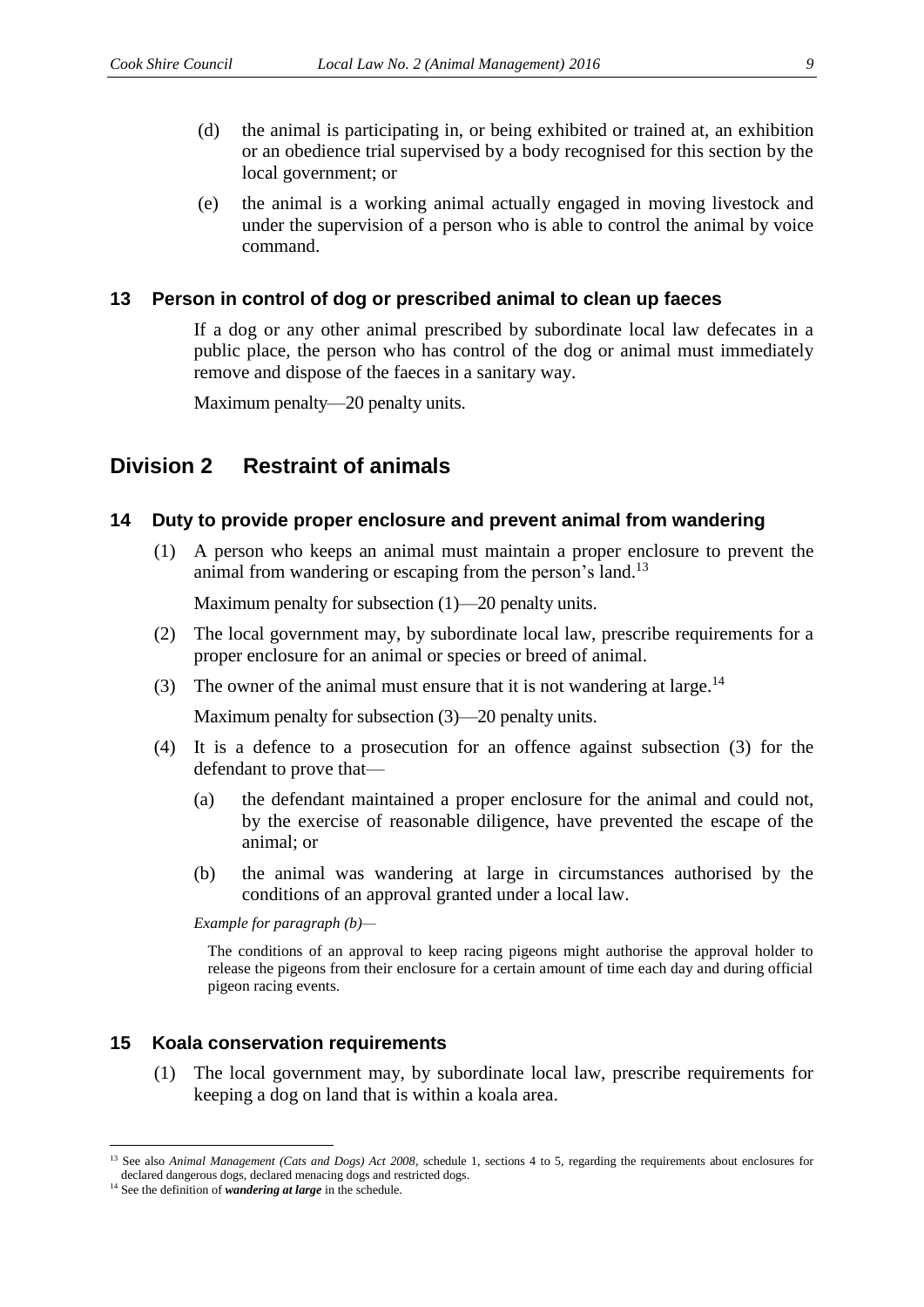- (d) the animal is participating in, or being exhibited or trained at, an exhibition or an obedience trial supervised by a body recognised for this section by the local government; or
- (e) the animal is a working animal actually engaged in moving livestock and under the supervision of a person who is able to control the animal by voice command.

#### <span id="page-8-0"></span>**13 Person in control of dog or prescribed animal to clean up faeces**

If a dog or any other animal prescribed by subordinate local law defecates in a public place, the person who has control of the dog or animal must immediately remove and dispose of the faeces in a sanitary way.

Maximum penalty—20 penalty units.

# <span id="page-8-1"></span>**Division 2 Restraint of animals**

#### <span id="page-8-2"></span>**14 Duty to provide proper enclosure and prevent animal from wandering**

(1) A person who keeps an animal must maintain a proper enclosure to prevent the animal from wandering or escaping from the person's land.<sup>13</sup>

Maximum penalty for subsection (1)—20 penalty units.

- (2) The local government may, by subordinate local law, prescribe requirements for a proper enclosure for an animal or species or breed of animal.
- (3) The owner of the animal must ensure that it is not wandering at large.<sup>14</sup>

Maximum penalty for subsection (3)—20 penalty units.

- (4) It is a defence to a prosecution for an offence against subsection (3) for the defendant to prove that—
	- (a) the defendant maintained a proper enclosure for the animal and could not, by the exercise of reasonable diligence, have prevented the escape of the animal; or
	- (b) the animal was wandering at large in circumstances authorised by the conditions of an approval granted under a local law.

*Example for paragraph (b)—*

The conditions of an approval to keep racing pigeons might authorise the approval holder to release the pigeons from their enclosure for a certain amount of time each day and during official pigeon racing events.

#### <span id="page-8-3"></span>**15 Koala conservation requirements**

(1) The local government may, by subordinate local law, prescribe requirements for keeping a dog on land that is within a koala area.

<sup>&</sup>lt;sup>13</sup> See also *Animal Management (Cats and Dogs) Act 2008*, schedule 1, sections 4 to 5, regarding the requirements about enclosures for declared dangerous dogs, declared menacing dogs and restricted dogs.

<sup>&</sup>lt;sup>14</sup> See the definition of *wandering at large* in the schedule.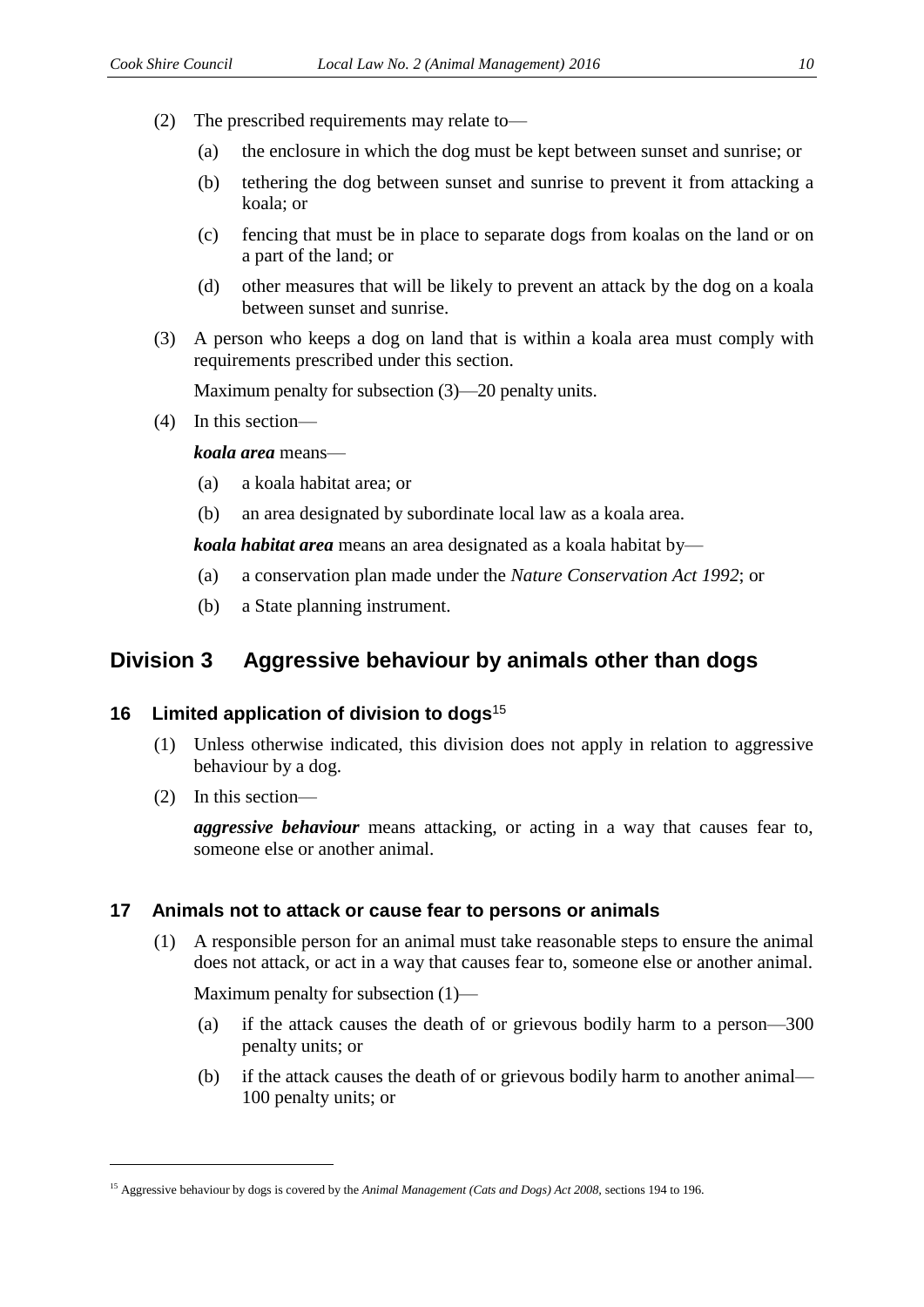- (2) The prescribed requirements may relate to—
	- (a) the enclosure in which the dog must be kept between sunset and sunrise; or
	- (b) tethering the dog between sunset and sunrise to prevent it from attacking a koala; or
	- (c) fencing that must be in place to separate dogs from koalas on the land or on a part of the land; or
	- (d) other measures that will be likely to prevent an attack by the dog on a koala between sunset and sunrise.
- (3) A person who keeps a dog on land that is within a koala area must comply with requirements prescribed under this section.

Maximum penalty for subsection (3)—20 penalty units.

(4) In this section—

*koala area* means—

- (a) a koala habitat area; or
- (b) an area designated by subordinate local law as a koala area.

*koala habitat area* means an area designated as a koala habitat by—

- (a) a conservation plan made under the *Nature Conservation Act 1992*; or
- (b) a State planning instrument.

# <span id="page-9-0"></span>**Division 3 Aggressive behaviour by animals other than dogs**

#### <span id="page-9-1"></span>**16 Limited application of division to dogs**<sup>15</sup>

- (1) Unless otherwise indicated, this division does not apply in relation to aggressive behaviour by a dog.
- (2) In this section—

 $\overline{a}$ 

*aggressive behaviour* means attacking, or acting in a way that causes fear to, someone else or another animal.

#### <span id="page-9-2"></span>**17 Animals not to attack or cause fear to persons or animals**

(1) A responsible person for an animal must take reasonable steps to ensure the animal does not attack, or act in a way that causes fear to, someone else or another animal.

Maximum penalty for subsection (1)—

- (a) if the attack causes the death of or grievous bodily harm to a person—300 penalty units; or
- (b) if the attack causes the death of or grievous bodily harm to another animal— 100 penalty units; or

<sup>&</sup>lt;sup>15</sup> Aggressive behaviour by dogs is covered by the *Animal Management (Cats and Dogs) Act 2008*, sections 194 to 196.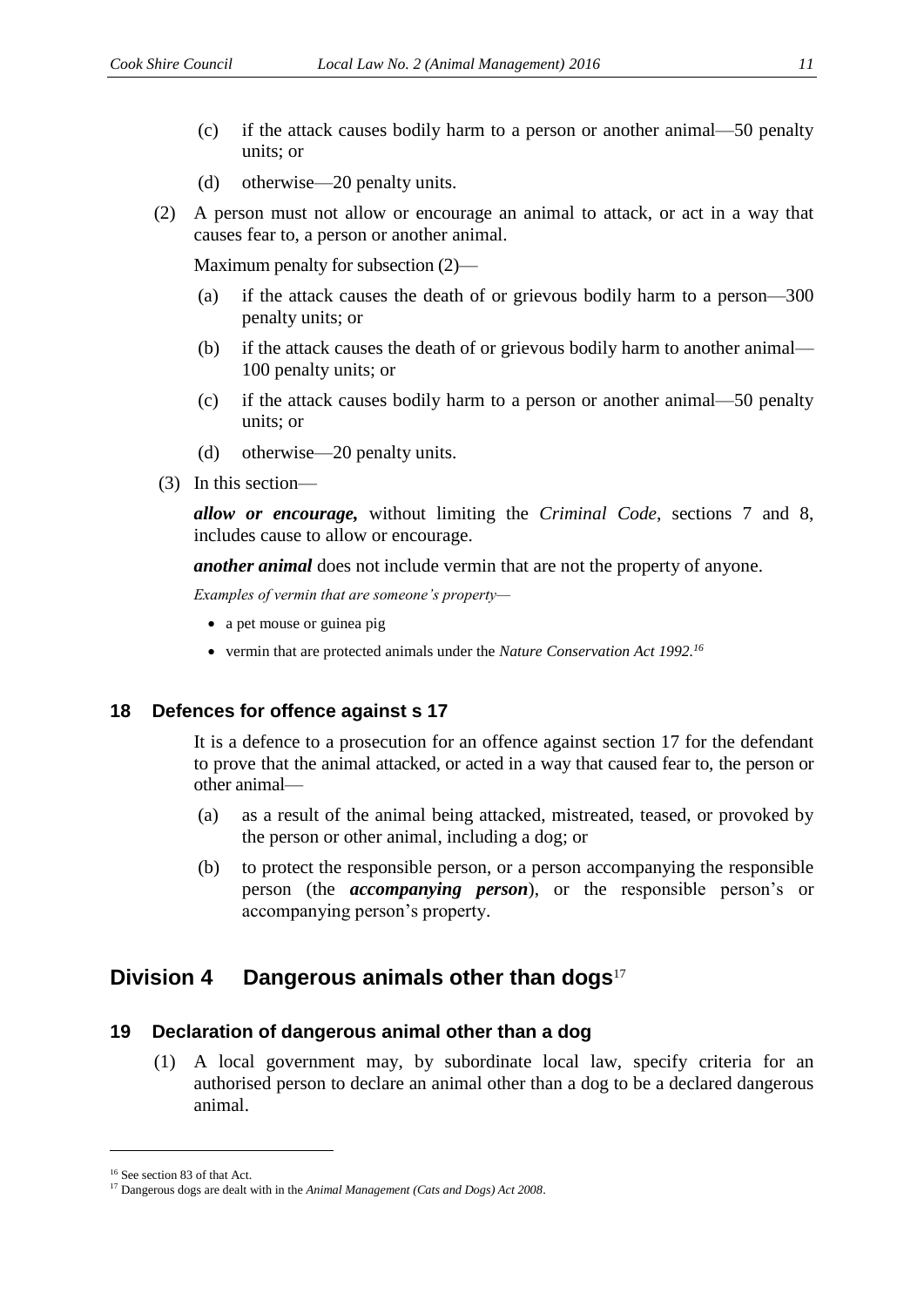- (c) if the attack causes bodily harm to a person or another animal—50 penalty units; or
- (d) otherwise—20 penalty units.
- (2) A person must not allow or encourage an animal to attack, or act in a way that causes fear to, a person or another animal.

Maximum penalty for subsection (2)—

- (a) if the attack causes the death of or grievous bodily harm to a person—300 penalty units; or
- (b) if the attack causes the death of or grievous bodily harm to another animal— 100 penalty units; or
- (c) if the attack causes bodily harm to a person or another animal—50 penalty units; or
- (d) otherwise—20 penalty units.
- (3) In this section—

*allow or encourage,* without limiting the *Criminal Code*, sections 7 and 8, includes cause to allow or encourage.

*another animal* does not include vermin that are not the property of anyone.

*Examples of vermin that are someone's property—*

- a pet mouse or guinea pig
- vermin that are protected animals under the *Nature Conservation Act 1992.<sup>16</sup>*

#### <span id="page-10-0"></span>**18 Defences for offence against s 17**

It is a defence to a prosecution for an offence against section 17 for the defendant to prove that the animal attacked, or acted in a way that caused fear to, the person or other animal—

- (a) as a result of the animal being attacked, mistreated, teased, or provoked by the person or other animal, including a dog; or
- (b) to protect the responsible person, or a person accompanying the responsible person (the *accompanying person*), or the responsible person's or accompanying person's property.

# <span id="page-10-1"></span>**Division 4 Dangerous animals other than dogs**<sup>17</sup>

#### <span id="page-10-2"></span>**19 Declaration of dangerous animal other than a dog**

(1) A local government may, by subordinate local law, specify criteria for an authorised person to declare an animal other than a dog to be a declared dangerous animal.

<sup>16</sup> See section 83 of that Act.

<sup>&</sup>lt;sup>17</sup> Dangerous dogs are dealt with in the *Animal Management (Cats and Dogs) Act 2008*.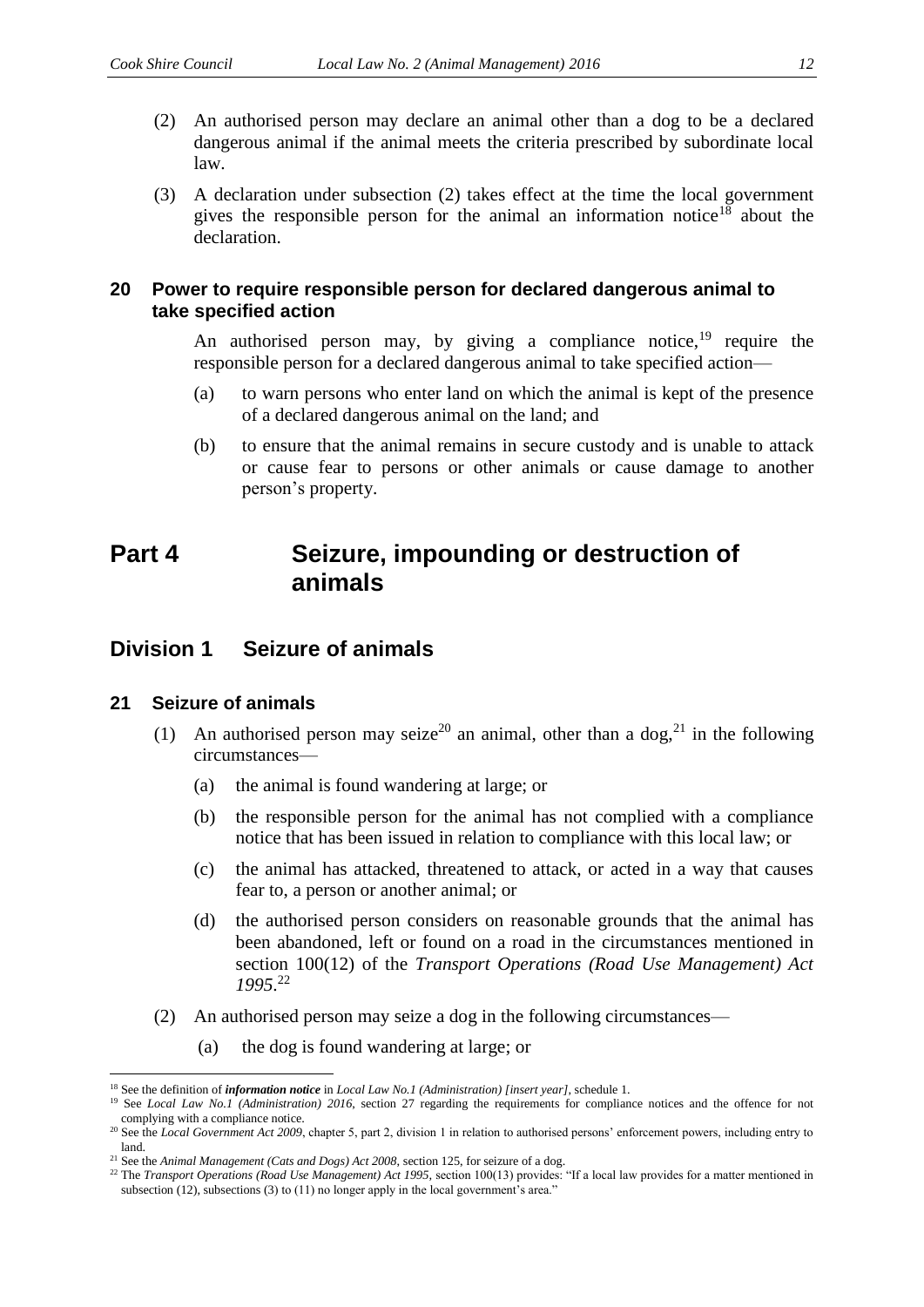- (2) An authorised person may declare an animal other than a dog to be a declared dangerous animal if the animal meets the criteria prescribed by subordinate local law.
- (3) A declaration under subsection (2) takes effect at the time the local government gives the responsible person for the animal an information notice<sup>18</sup> about the declaration.

#### <span id="page-11-0"></span>**20 Power to require responsible person for declared dangerous animal to take specified action**

An authorised person may, by giving a compliance notice,  $19$  require the responsible person for a declared dangerous animal to take specified action—

- (a) to warn persons who enter land on which the animal is kept of the presence of a declared dangerous animal on the land; and
- (b) to ensure that the animal remains in secure custody and is unable to attack or cause fear to persons or other animals or cause damage to another person's property.

# <span id="page-11-1"></span>**Part 4 Seizure, impounding or destruction of animals**

# <span id="page-11-2"></span>**Division 1 Seizure of animals**

#### <span id="page-11-3"></span>**21 Seizure of animals**

- (1) An authorised person may seize<sup>20</sup> an animal, other than a dog,<sup>21</sup> in the following circumstances—
	- (a) the animal is found wandering at large; or
	- (b) the responsible person for the animal has not complied with a compliance notice that has been issued in relation to compliance with this local law; or
	- (c) the animal has attacked, threatened to attack, or acted in a way that causes fear to, a person or another animal; or
	- (d) the authorised person considers on reasonable grounds that the animal has been abandoned, left or found on a road in the circumstances mentioned in section 100(12) of the *Transport Operations (Road Use Management) Act 1995*. 22
- (2) An authorised person may seize a dog in the following circumstances—
	- (a) the dog is found wandering at large; or

<sup>18</sup> See the definition of *information notice* in *Local Law No.1 (Administration) [insert year]*, schedule 1.

<sup>&</sup>lt;sup>19</sup> See *Local Law No.1 (Administration) 2016*, section 27 regarding the requirements for compliance notices and the offence for not complying with a compliance notice. <sup>20</sup> See the *Local Government Act 2009*, chapter 5, part 2, division 1 in relation to authorised persons' enforcement powers, including entry to

land.

<sup>21</sup> See the *Animal Management (Cats and Dogs) Act 2008*, section 125, for seizure of a dog.

<sup>&</sup>lt;sup>22</sup> The *Transport Operations (Road Use Management) Act 1995*, section 100(13) provides: "If a local law provides for a matter mentioned in subsection (12), subsections (3) to (11) no longer apply in the local government's area."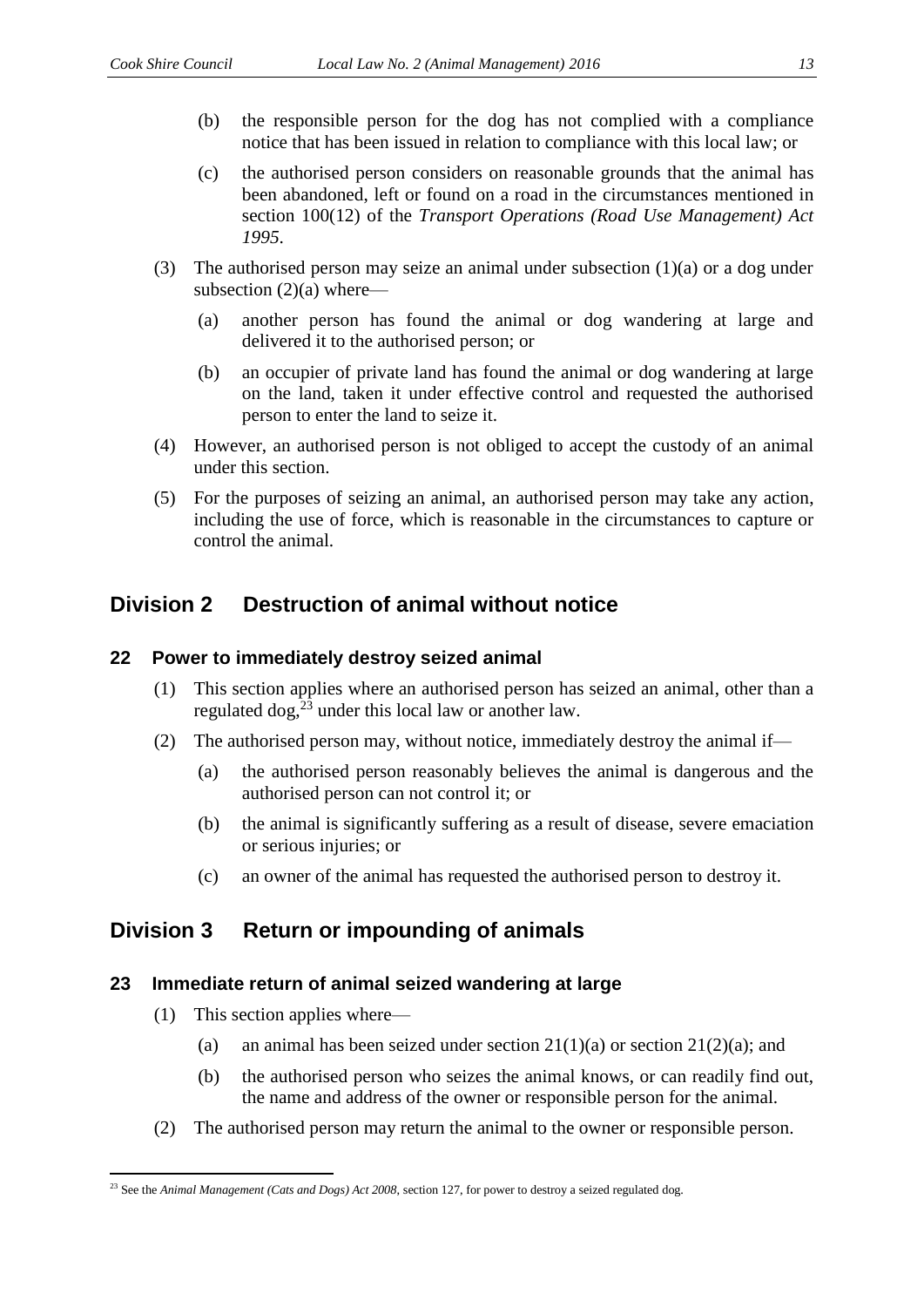- (b) the responsible person for the dog has not complied with a compliance notice that has been issued in relation to compliance with this local law; or
- (c) the authorised person considers on reasonable grounds that the animal has been abandoned, left or found on a road in the circumstances mentioned in section 100(12) of the *Transport Operations (Road Use Management) Act 1995*.
- (3) The authorised person may seize an animal under subsection (1)(a) or a dog under subsection  $(2)(a)$  where—
	- (a) another person has found the animal or dog wandering at large and delivered it to the authorised person; or
	- (b) an occupier of private land has found the animal or dog wandering at large on the land, taken it under effective control and requested the authorised person to enter the land to seize it.
- (4) However, an authorised person is not obliged to accept the custody of an animal under this section.
- (5) For the purposes of seizing an animal, an authorised person may take any action, including the use of force, which is reasonable in the circumstances to capture or control the animal.

# <span id="page-12-0"></span>**Division 2 Destruction of animal without notice**

#### <span id="page-12-1"></span>**22 Power to immediately destroy seized animal**

- (1) This section applies where an authorised person has seized an animal, other than a regulated dog,<sup>23</sup> under this local law or another law.
- (2) The authorised person may, without notice, immediately destroy the animal if—
	- (a) the authorised person reasonably believes the animal is dangerous and the authorised person can not control it; or
	- (b) the animal is significantly suffering as a result of disease, severe emaciation or serious injuries; or
	- (c) an owner of the animal has requested the authorised person to destroy it.

## <span id="page-12-2"></span>**Division 3 Return or impounding of animals**

#### <span id="page-12-3"></span>**23 Immediate return of animal seized wandering at large**

(1) This section applies where—

- (a) an animal has been seized under section  $21(1)(a)$  or section  $21(2)(a)$ ; and
- (b) the authorised person who seizes the animal knows, or can readily find out, the name and address of the owner or responsible person for the animal.
- (2) The authorised person may return the animal to the owner or responsible person.

<sup>&</sup>lt;sup>23</sup> See the *Animal Management (Cats and Dogs) Act 2008*, section 127, for power to destroy a seized regulated dog.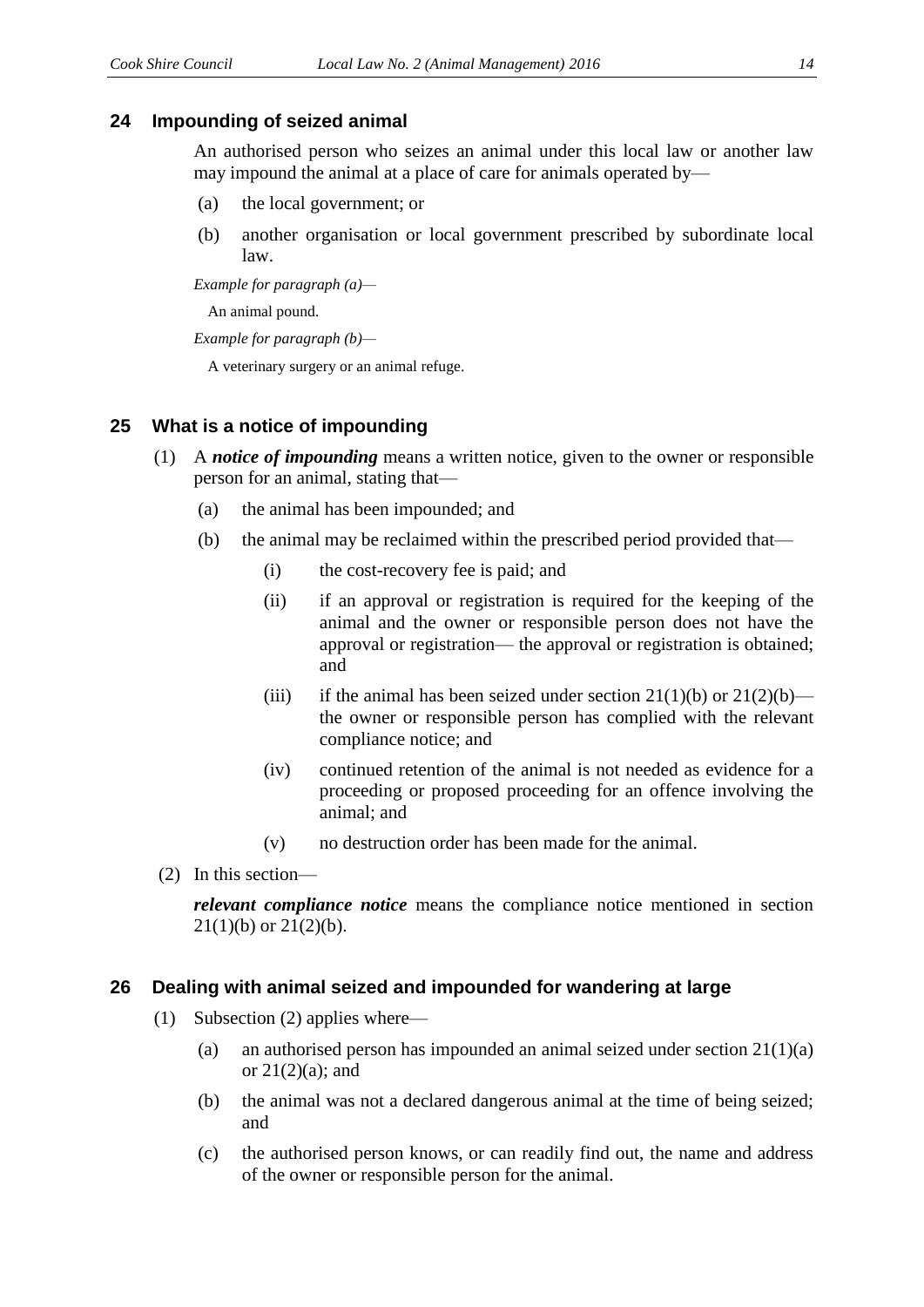#### <span id="page-13-0"></span>**24 Impounding of seized animal**

An authorised person who seizes an animal under this local law or another law may impound the animal at a place of care for animals operated by—

- (a) the local government; or
- (b) another organisation or local government prescribed by subordinate local law.

*Example for paragraph (a)—*

An animal pound.

*Example for paragraph (b)—*

A veterinary surgery or an animal refuge.

#### <span id="page-13-1"></span>**25 What is a notice of impounding**

- (1) A *notice of impounding* means a written notice, given to the owner or responsible person for an animal, stating that—
	- (a) the animal has been impounded; and
	- (b) the animal may be reclaimed within the prescribed period provided that—
		- (i) the cost-recovery fee is paid; and
		- (ii) if an approval or registration is required for the keeping of the animal and the owner or responsible person does not have the approval or registration— the approval or registration is obtained; and
		- (iii) if the animal has been seized under section  $21(1)(b)$  or  $21(2)(b)$  the owner or responsible person has complied with the relevant compliance notice; and
		- (iv) continued retention of the animal is not needed as evidence for a proceeding or proposed proceeding for an offence involving the animal; and
		- (v) no destruction order has been made for the animal.
- (2) In this section—

*relevant compliance notice* means the compliance notice mentioned in section  $21(1)(b)$  or  $21(2)(b)$ .

#### <span id="page-13-2"></span>**26 Dealing with animal seized and impounded for wandering at large**

- (1) Subsection (2) applies where—
	- (a) an authorised person has impounded an animal seized under section  $21(1)(a)$ or  $21(2)(a)$ ; and
	- (b) the animal was not a declared dangerous animal at the time of being seized; and
	- (c) the authorised person knows, or can readily find out, the name and address of the owner or responsible person for the animal.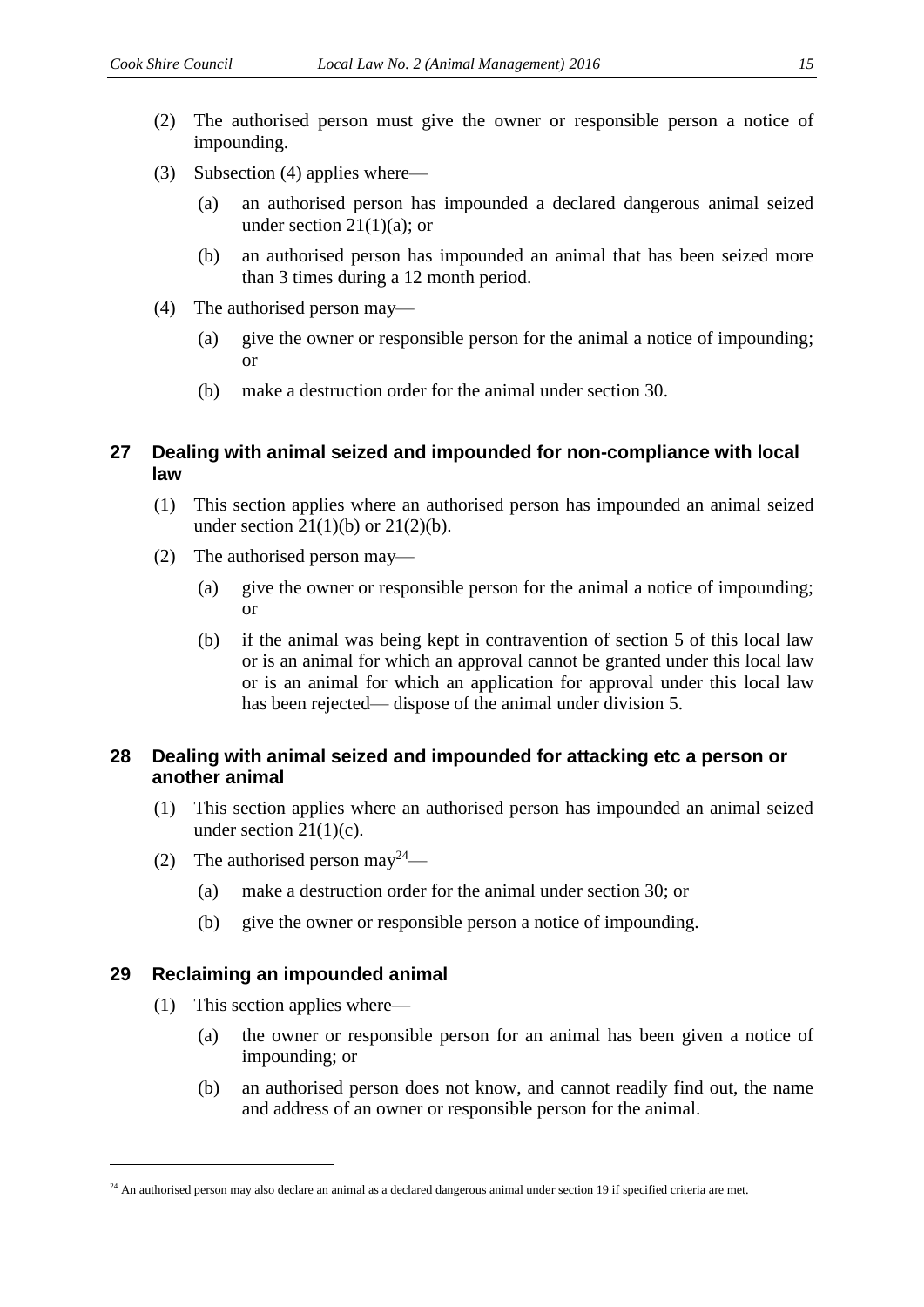- (2) The authorised person must give the owner or responsible person a notice of impounding.
- (3) Subsection (4) applies where—
	- (a) an authorised person has impounded a declared dangerous animal seized under section  $21(1)(a)$ ; or
	- (b) an authorised person has impounded an animal that has been seized more than 3 times during a 12 month period.
- (4) The authorised person may—
	- (a) give the owner or responsible person for the animal a notice of impounding; or
	- (b) make a destruction order for the animal under section 30.

#### <span id="page-14-0"></span>**27 Dealing with animal seized and impounded for non-compliance with local law**

- (1) This section applies where an authorised person has impounded an animal seized under section  $21(1)(b)$  or  $21(2)(b)$ .
- (2) The authorised person may—
	- (a) give the owner or responsible person for the animal a notice of impounding; or
	- (b) if the animal was being kept in contravention of section 5 of this local law or is an animal for which an approval cannot be granted under this local law or is an animal for which an application for approval under this local law has been rejected— dispose of the animal under division 5.

#### <span id="page-14-1"></span>**28 Dealing with animal seized and impounded for attacking etc a person or another animal**

- (1) This section applies where an authorised person has impounded an animal seized under section  $21(1)(c)$ .
- (2) The authorised person may  $2^4$ 
	- (a) make a destruction order for the animal under section 30; or
	- (b) give the owner or responsible person a notice of impounding.

#### <span id="page-14-2"></span>**29 Reclaiming an impounded animal**

(1) This section applies where—

- (a) the owner or responsible person for an animal has been given a notice of impounding; or
- (b) an authorised person does not know, and cannot readily find out, the name and address of an owner or responsible person for the animal.

<sup>&</sup>lt;sup>24</sup> An authorised person may also declare an animal as a declared dangerous animal under section 19 if specified criteria are met.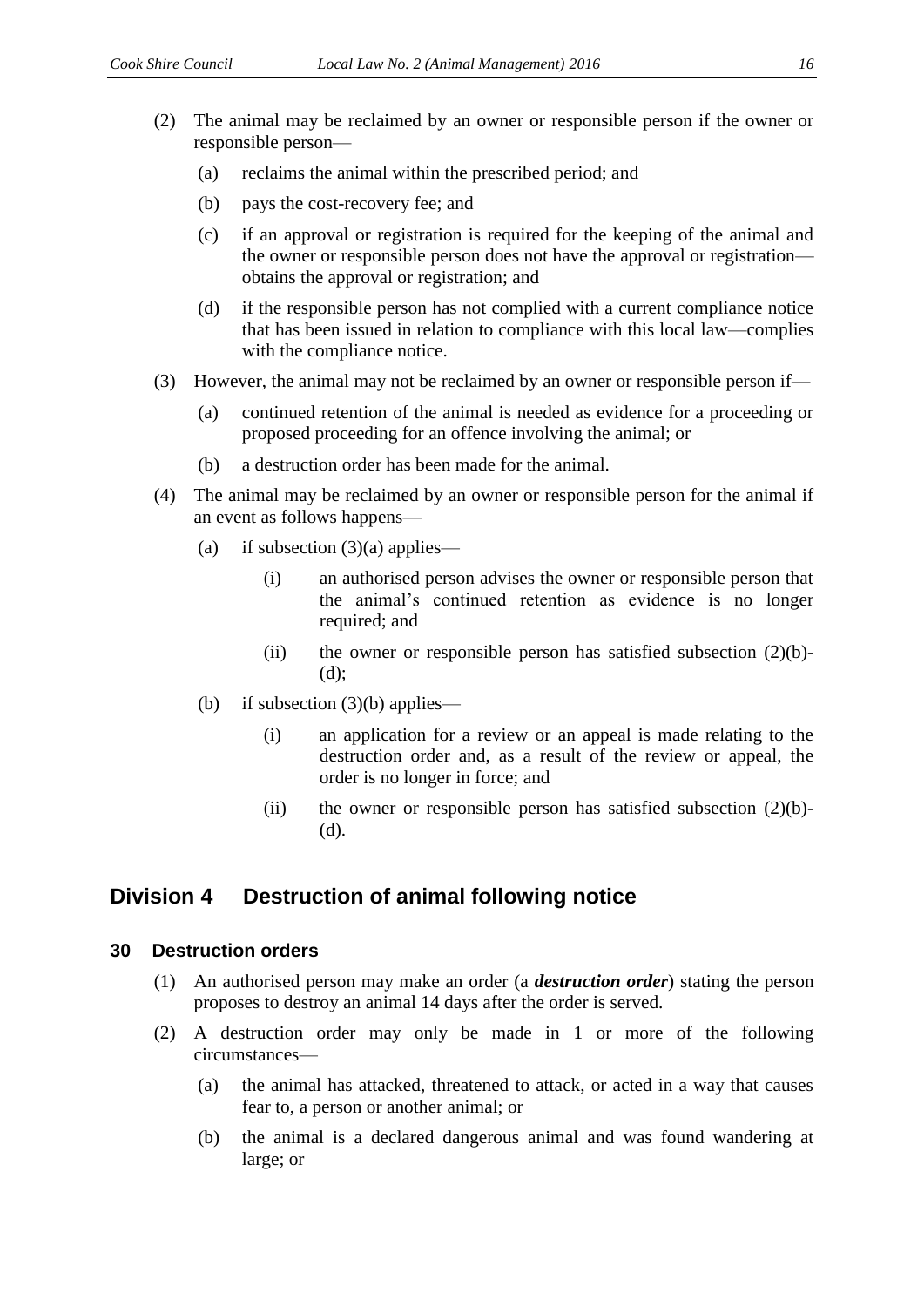- (2) The animal may be reclaimed by an owner or responsible person if the owner or responsible person—
	- (a) reclaims the animal within the prescribed period; and
	- (b) pays the cost-recovery fee; and
	- (c) if an approval or registration is required for the keeping of the animal and the owner or responsible person does not have the approval or registration obtains the approval or registration; and
	- (d) if the responsible person has not complied with a current compliance notice that has been issued in relation to compliance with this local law—complies with the compliance notice.
- (3) However, the animal may not be reclaimed by an owner or responsible person if—
	- (a) continued retention of the animal is needed as evidence for a proceeding or proposed proceeding for an offence involving the animal; or
	- (b) a destruction order has been made for the animal.
- (4) The animal may be reclaimed by an owner or responsible person for the animal if an event as follows happens—
	- (a) if subsection  $(3)(a)$  applies—
		- (i) an authorised person advises the owner or responsible person that the animal's continued retention as evidence is no longer required; and
		- (ii) the owner or responsible person has satisfied subsection  $(2)(b)$ -(d);
	- (b) if subsection  $(3)(b)$  applies—
		- (i) an application for a review or an appeal is made relating to the destruction order and, as a result of the review or appeal, the order is no longer in force; and
		- (ii) the owner or responsible person has satisfied subsection  $(2)(b)$ -(d).

## <span id="page-15-0"></span>**Division 4 Destruction of animal following notice**

#### <span id="page-15-1"></span>**30 Destruction orders**

- (1) An authorised person may make an order (a *destruction order*) stating the person proposes to destroy an animal 14 days after the order is served.
- (2) A destruction order may only be made in 1 or more of the following circumstances—
	- (a) the animal has attacked, threatened to attack, or acted in a way that causes fear to, a person or another animal; or
	- (b) the animal is a declared dangerous animal and was found wandering at large; or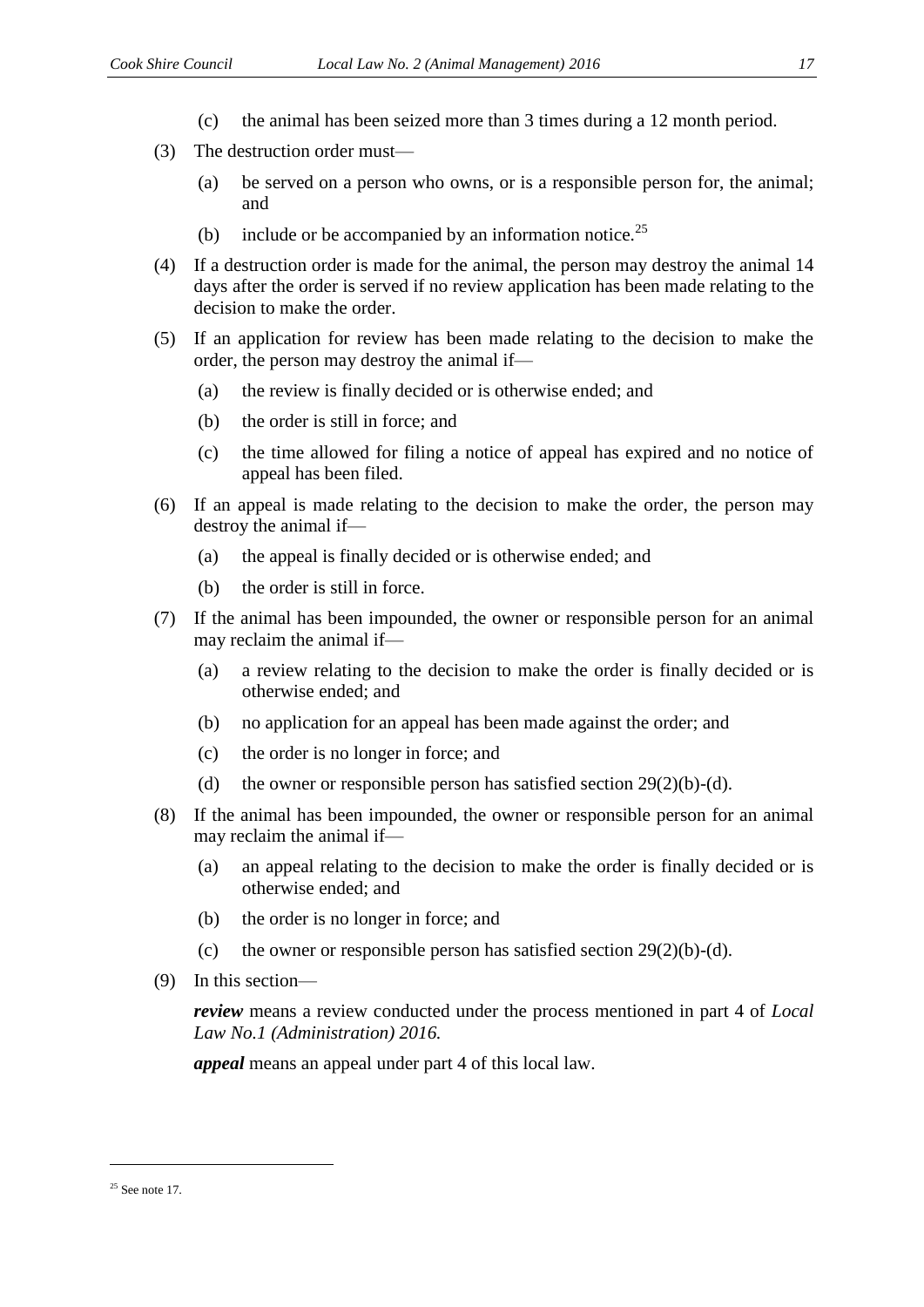- (c) the animal has been seized more than 3 times during a 12 month period.
- (3) The destruction order must—
	- (a) be served on a person who owns, or is a responsible person for, the animal; and
	- (b) include or be accompanied by an information notice.<sup>25</sup>
- (4) If a destruction order is made for the animal, the person may destroy the animal 14 days after the order is served if no review application has been made relating to the decision to make the order.
- (5) If an application for review has been made relating to the decision to make the order, the person may destroy the animal if—
	- (a) the review is finally decided or is otherwise ended; and
	- (b) the order is still in force; and
	- (c) the time allowed for filing a notice of appeal has expired and no notice of appeal has been filed.
- (6) If an appeal is made relating to the decision to make the order, the person may destroy the animal if—
	- (a) the appeal is finally decided or is otherwise ended; and
	- (b) the order is still in force.
- (7) If the animal has been impounded, the owner or responsible person for an animal may reclaim the animal if—
	- (a) a review relating to the decision to make the order is finally decided or is otherwise ended; and
	- (b) no application for an appeal has been made against the order; and
	- (c) the order is no longer in force; and
	- (d) the owner or responsible person has satisfied section  $29(2)(b)-(d)$ .
- (8) If the animal has been impounded, the owner or responsible person for an animal may reclaim the animal if—
	- (a) an appeal relating to the decision to make the order is finally decided or is otherwise ended; and
	- (b) the order is no longer in force; and
	- (c) the owner or responsible person has satisfied section  $29(2)(b)-(d)$ .
- (9) In this section—

*review* means a review conducted under the process mentioned in part 4 of *Local Law No.1 (Administration) 2016.*

*appeal* means an appeal under part 4 of this local law.

 $25$  See note 17.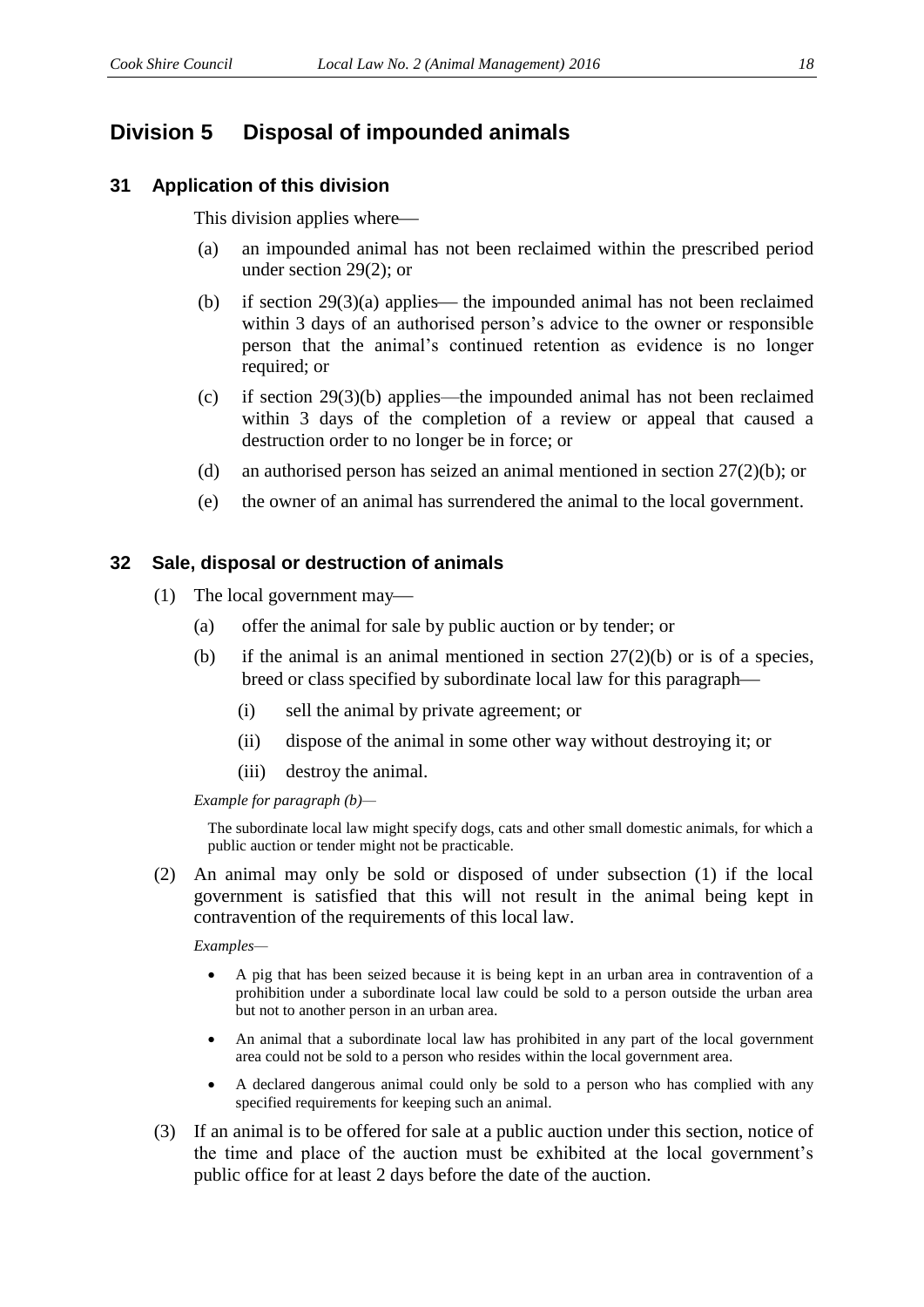# <span id="page-17-0"></span>**Division 5 Disposal of impounded animals**

#### <span id="page-17-1"></span>**31 Application of this division**

This division applies where

- (a) an impounded animal has not been reclaimed within the prescribed period under section 29(2); or
- (b) if section  $29(3)(a)$  applies— the impounded animal has not been reclaimed within 3 days of an authorised person's advice to the owner or responsible person that the animal's continued retention as evidence is no longer required; or
- (c) if section 29(3)(b) applies—the impounded animal has not been reclaimed within 3 days of the completion of a review or appeal that caused a destruction order to no longer be in force; or
- (d) an authorised person has seized an animal mentioned in section 27(2)(b); or
- (e) the owner of an animal has surrendered the animal to the local government.

#### <span id="page-17-2"></span>**32 Sale, disposal or destruction of animals**

- (1) The local government may
	- (a) offer the animal for sale by public auction or by tender; or
	- (b) if the animal is an animal mentioned in section  $27(2)(b)$  or is of a species, breed or class specified by subordinate local law for this paragraph
		- (i) sell the animal by private agreement; or
		- (ii) dispose of the animal in some other way without destroying it; or
		- (iii) destroy the animal.

*Example for paragraph (b)—*

The subordinate local law might specify dogs, cats and other small domestic animals, for which a public auction or tender might not be practicable.

(2) An animal may only be sold or disposed of under subsection (1) if the local government is satisfied that this will not result in the animal being kept in contravention of the requirements of this local law.

*Examples—*

- A pig that has been seized because it is being kept in an urban area in contravention of a prohibition under a subordinate local law could be sold to a person outside the urban area but not to another person in an urban area.
- An animal that a subordinate local law has prohibited in any part of the local government area could not be sold to a person who resides within the local government area.
- A declared dangerous animal could only be sold to a person who has complied with any specified requirements for keeping such an animal.
- (3) If an animal is to be offered for sale at a public auction under this section, notice of the time and place of the auction must be exhibited at the local government's public office for at least 2 days before the date of the auction.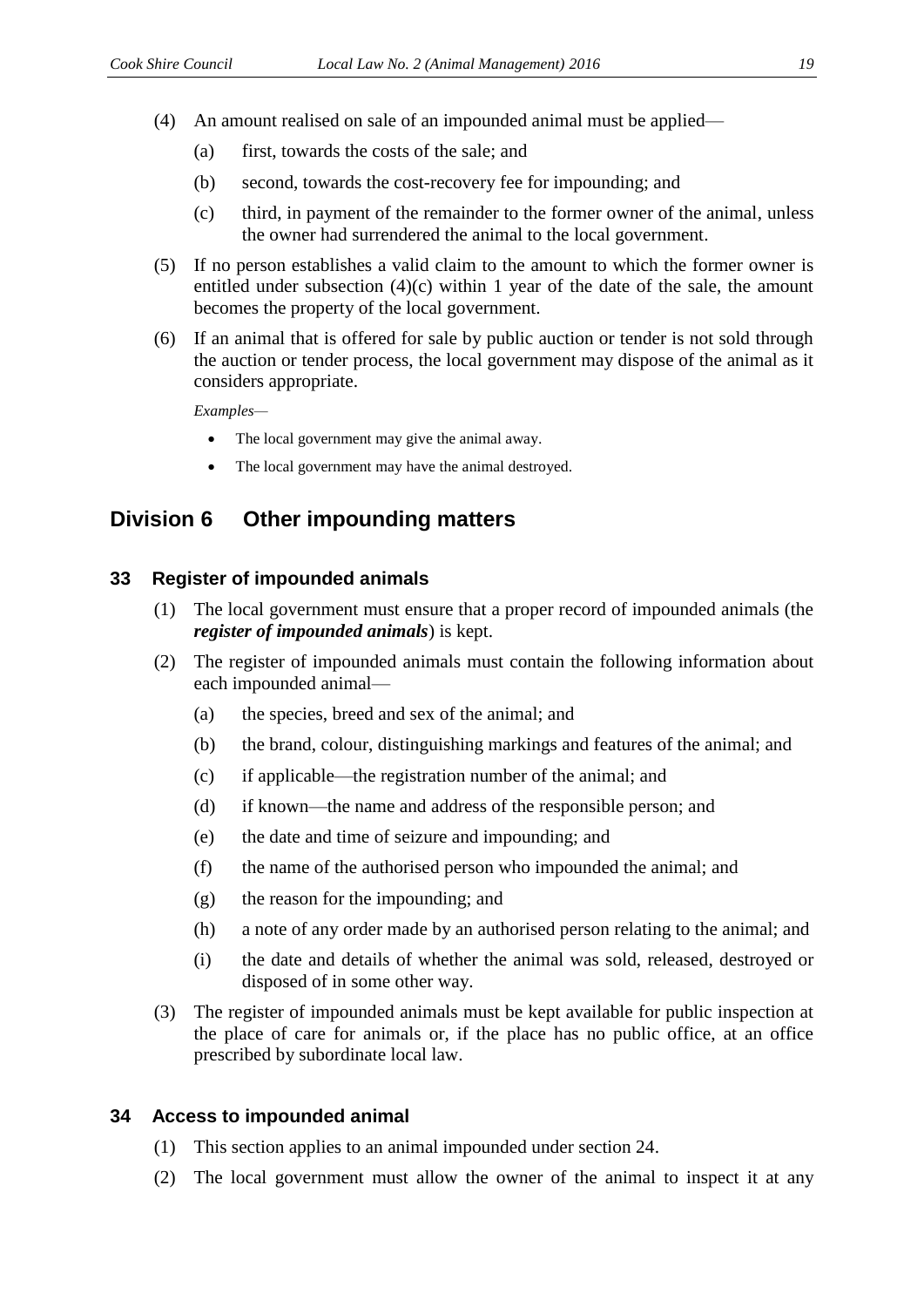- (4) An amount realised on sale of an impounded animal must be applied—
	- (a) first, towards the costs of the sale; and
	- (b) second, towards the cost-recovery fee for impounding; and
	- (c) third, in payment of the remainder to the former owner of the animal, unless the owner had surrendered the animal to the local government.
- (5) If no person establishes a valid claim to the amount to which the former owner is entitled under subsection  $(4)(c)$  within 1 year of the date of the sale, the amount becomes the property of the local government.
- (6) If an animal that is offered for sale by public auction or tender is not sold through the auction or tender process, the local government may dispose of the animal as it considers appropriate.

*Examples—*

- The local government may give the animal away.
- The local government may have the animal destroyed.

# <span id="page-18-0"></span>**Division 6 Other impounding matters**

#### <span id="page-18-1"></span>**33 Register of impounded animals**

- (1) The local government must ensure that a proper record of impounded animals (the *register of impounded animals*) is kept.
- (2) The register of impounded animals must contain the following information about each impounded animal—
	- (a) the species, breed and sex of the animal; and
	- (b) the brand, colour, distinguishing markings and features of the animal; and
	- (c) if applicable—the registration number of the animal; and
	- (d) if known—the name and address of the responsible person; and
	- (e) the date and time of seizure and impounding; and
	- (f) the name of the authorised person who impounded the animal; and
	- (g) the reason for the impounding; and
	- (h) a note of any order made by an authorised person relating to the animal; and
	- (i) the date and details of whether the animal was sold, released, destroyed or disposed of in some other way.
- (3) The register of impounded animals must be kept available for public inspection at the place of care for animals or, if the place has no public office, at an office prescribed by subordinate local law.

#### <span id="page-18-2"></span>**34 Access to impounded animal**

- (1) This section applies to an animal impounded under section 24.
- (2) The local government must allow the owner of the animal to inspect it at any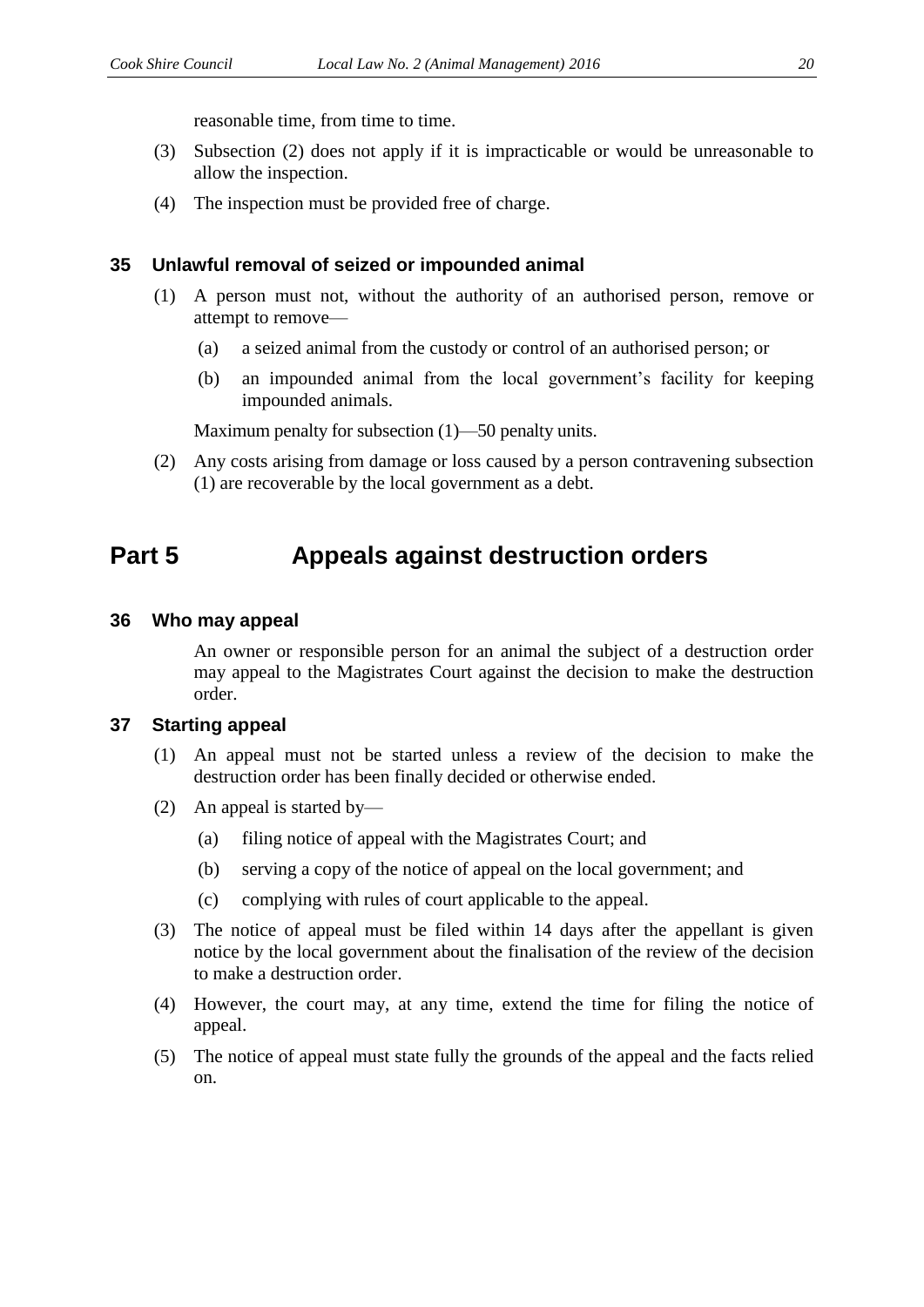reasonable time, from time to time.

- (3) Subsection (2) does not apply if it is impracticable or would be unreasonable to allow the inspection.
- (4) The inspection must be provided free of charge.

#### <span id="page-19-0"></span>**35 Unlawful removal of seized or impounded animal**

- (1) A person must not, without the authority of an authorised person, remove or attempt to remove—
	- (a) a seized animal from the custody or control of an authorised person; or
	- (b) an impounded animal from the local government's facility for keeping impounded animals.

Maximum penalty for subsection (1)—50 penalty units.

(2) Any costs arising from damage or loss caused by a person contravening subsection (1) are recoverable by the local government as a debt.

# <span id="page-19-1"></span>**Part 5 Appeals against destruction orders**

#### <span id="page-19-2"></span>**36 Who may appeal**

An owner or responsible person for an animal the subject of a destruction order may appeal to the Magistrates Court against the decision to make the destruction order.

#### <span id="page-19-3"></span>**37 Starting appeal**

- (1) An appeal must not be started unless a review of the decision to make the destruction order has been finally decided or otherwise ended.
- (2) An appeal is started by—
	- (a) filing notice of appeal with the Magistrates Court; and
	- (b) serving a copy of the notice of appeal on the local government; and
	- (c) complying with rules of court applicable to the appeal.
- (3) The notice of appeal must be filed within 14 days after the appellant is given notice by the local government about the finalisation of the review of the decision to make a destruction order.
- (4) However, the court may, at any time, extend the time for filing the notice of appeal.
- (5) The notice of appeal must state fully the grounds of the appeal and the facts relied on.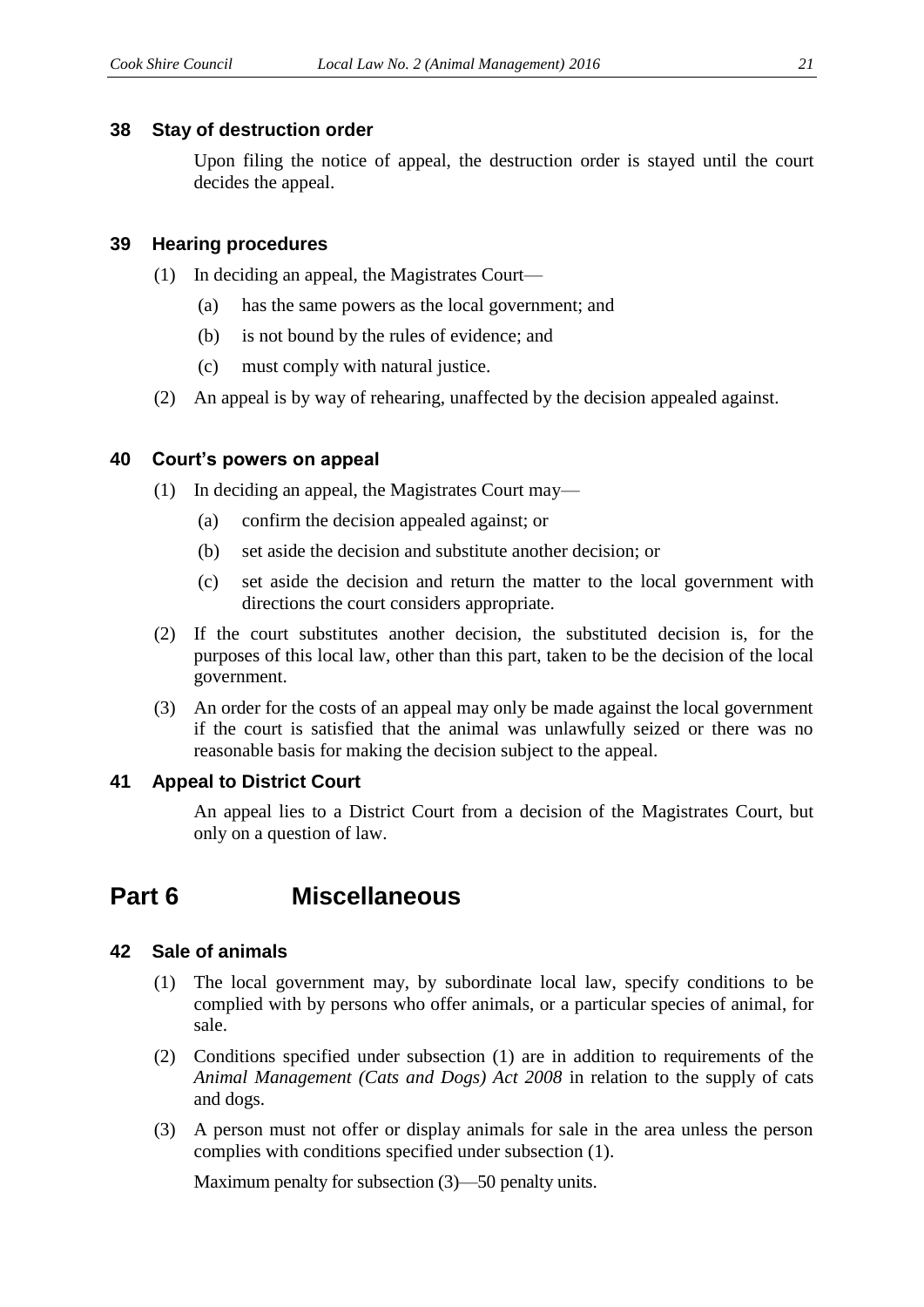#### <span id="page-20-0"></span>**38 Stay of destruction order**

Upon filing the notice of appeal, the destruction order is stayed until the court decides the appeal.

#### <span id="page-20-1"></span>**39 Hearing procedures**

- (1) In deciding an appeal, the Magistrates Court—
	- (a) has the same powers as the local government; and
	- (b) is not bound by the rules of evidence; and
	- (c) must comply with natural justice.
- (2) An appeal is by way of rehearing, unaffected by the decision appealed against.

#### <span id="page-20-2"></span>**40 Court's powers on appeal**

- (1) In deciding an appeal, the Magistrates Court may—
	- (a) confirm the decision appealed against; or
	- (b) set aside the decision and substitute another decision; or
	- (c) set aside the decision and return the matter to the local government with directions the court considers appropriate.
- (2) If the court substitutes another decision, the substituted decision is, for the purposes of this local law, other than this part, taken to be the decision of the local government.
- (3) An order for the costs of an appeal may only be made against the local government if the court is satisfied that the animal was unlawfully seized or there was no reasonable basis for making the decision subject to the appeal.

#### <span id="page-20-3"></span>**41 Appeal to District Court**

An appeal lies to a District Court from a decision of the Magistrates Court, but only on a question of law.

# <span id="page-20-4"></span>**Part 6 Miscellaneous**

#### <span id="page-20-5"></span>**42 Sale of animals**

- (1) The local government may, by subordinate local law, specify conditions to be complied with by persons who offer animals, or a particular species of animal, for sale.
- (2) Conditions specified under subsection (1) are in addition to requirements of the *Animal Management (Cats and Dogs) Act 2008* in relation to the supply of cats and dogs.
- (3) A person must not offer or display animals for sale in the area unless the person complies with conditions specified under subsection (1).

Maximum penalty for subsection (3)—50 penalty units.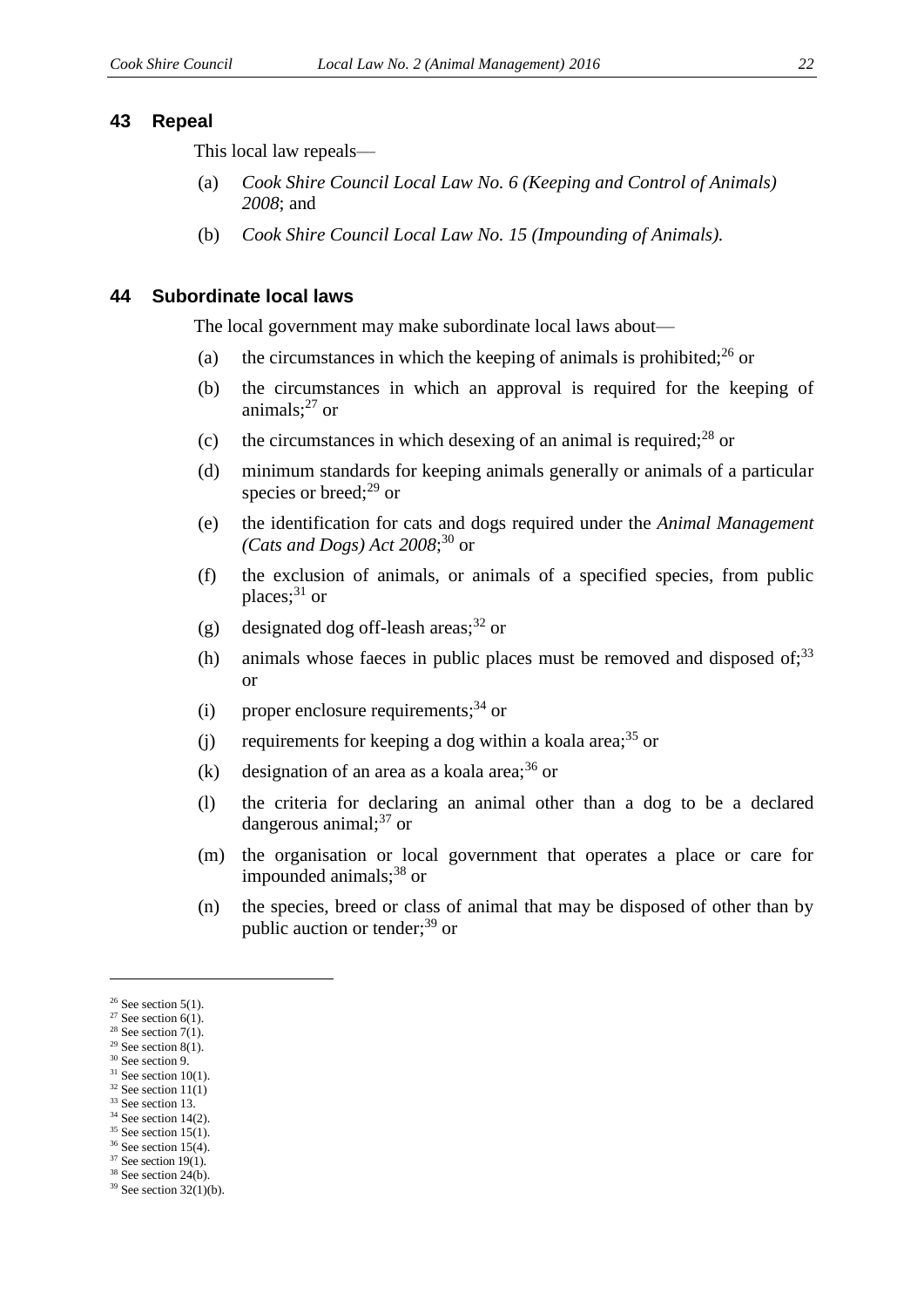#### <span id="page-21-0"></span>**43 Repeal**

This local law repeals—

- (a) *Cook Shire Council Local Law No. 6 (Keeping and Control of Animals) 2008*; and
- (b) *Cook Shire Council Local Law No. 15 (Impounding of Animals).*

#### <span id="page-21-1"></span>**44 Subordinate local laws**

The local government may make subordinate local laws about—

- (a) the circumstances in which the keeping of animals is prohibited;<sup>26</sup> or
- (b) the circumstances in which an approval is required for the keeping of animals; $^{27}$  or
- (c) the circumstances in which desexing of an animal is required; <sup>28</sup> or
- (d) minimum standards for keeping animals generally or animals of a particular species or breed;<sup>29</sup> or
- (e) the identification for cats and dogs required under the *Animal Management (Cats and Dogs) Act 2008*; <sup>30</sup> or
- (f) the exclusion of animals, or animals of a specified species, from public places; <sup>31</sup> or
- (g) designated dog off-leash areas;<sup>32</sup> or
- (h) animals whose faeces in public places must be removed and disposed of; $33$ or
- (i) proper enclosure requirements; <sup>34</sup> or
- (i) requirements for keeping a dog within a koala area;<sup>35</sup> or
- (k) designation of an area as a koala area;  $36$  or
- (l) the criteria for declaring an animal other than a dog to be a declared dangerous animal; <sup>37</sup> or
- (m) the organisation or local government that operates a place or care for impounded animals; $38$  or
- (n) the species, breed or class of animal that may be disposed of other than by public auction or tender;<sup>39</sup> or

 $\overline{a}$ 

<sup>33</sup> See section 13.

- $36$  See section 15(4).
- $37$  See section 19(1).

 $26$  See section 5(1).

<sup>&</sup>lt;sup>27</sup> See section  $6(1)$ .  $28$  See section 7(1).

<sup>&</sup>lt;sup>29</sup> See section 8(1).

<sup>30</sup> See section 9.

 $31$  See section 10(1).  $32$  See section 11(1)

<sup>&</sup>lt;sup>34</sup> See section 14(2).

 $35$  See section 15(1).

<sup>&</sup>lt;sup>38</sup> See section 24(b).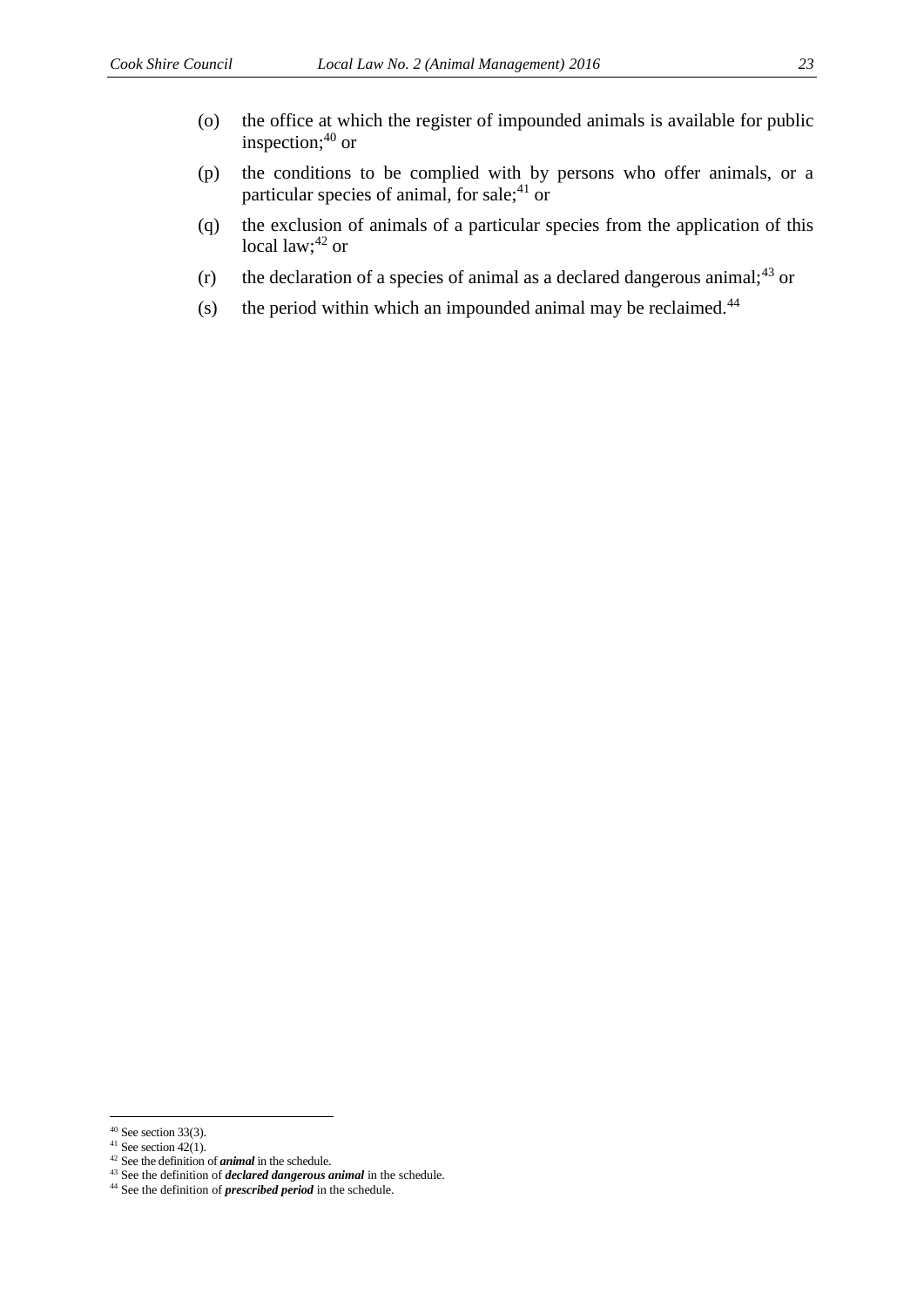- (o) the office at which the register of impounded animals is available for public inspection; <sup>40</sup> or
- (p) the conditions to be complied with by persons who offer animals, or a particular species of animal, for sale; $41$  or
- (q) the exclusion of animals of a particular species from the application of this local law; $42$  or
- (r) the declaration of a species of animal as a declared dangerous animal;<sup>43</sup> or
- (s) the period within which an impounded animal may be reclaimed. $44$

 $40$  See section 33(3).

<sup>&</sup>lt;sup>41</sup> See section  $42(1)$ .

 $42$  See the definition of *animal* in the schedule.

<sup>43</sup> See the definition of *declared dangerous animal* in the schedule.

<sup>&</sup>lt;sup>44</sup> See the definition of *prescribed period* in the schedule.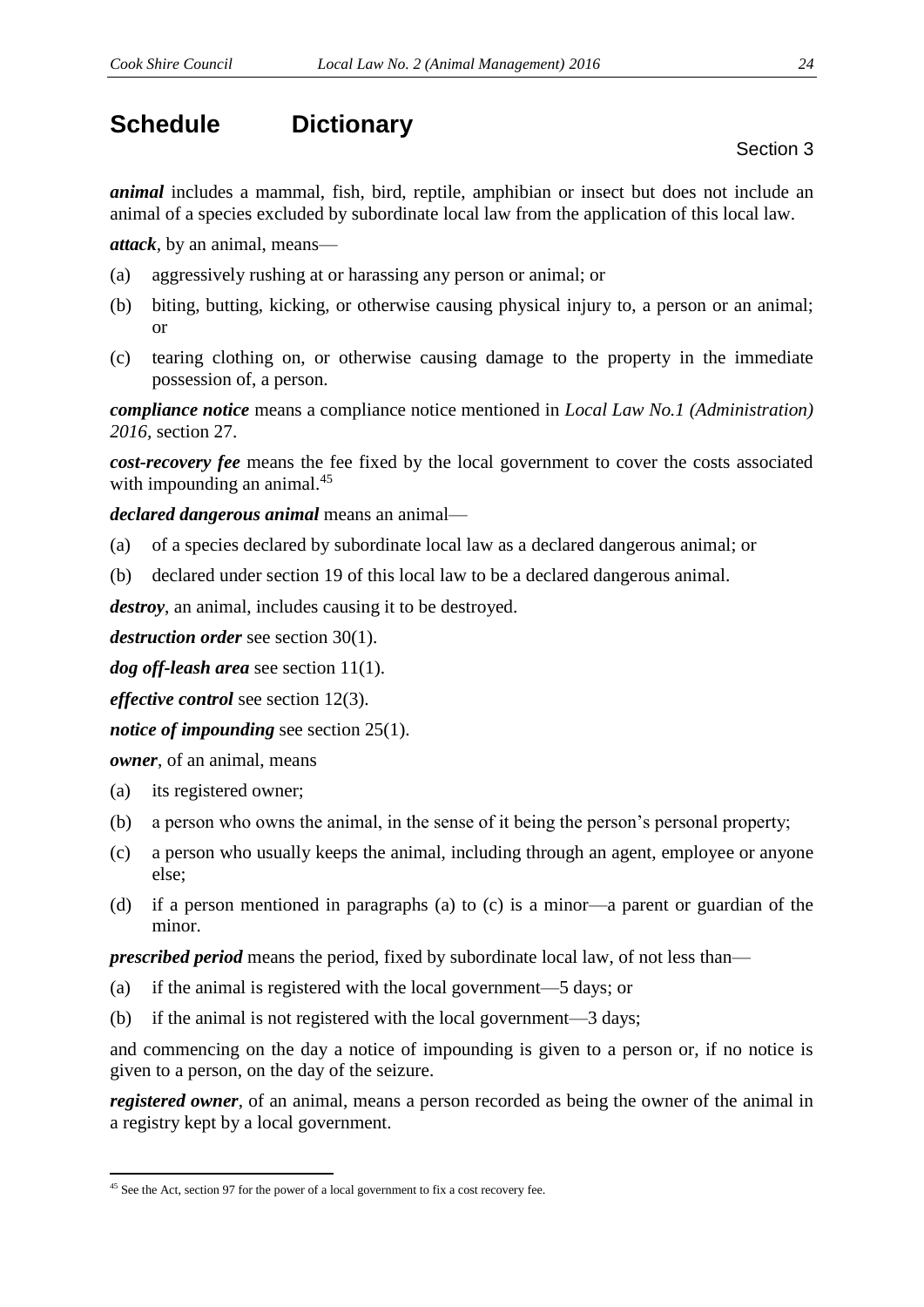# <span id="page-23-0"></span>**Schedule Dictionary**

*animal* includes a mammal, fish, bird, reptile, amphibian or insect but does not include an animal of a species excluded by subordinate local law from the application of this local law.

*attack,* by an animal, means—

- (a) aggressively rushing at or harassing any person or animal; or
- (b) biting, butting, kicking, or otherwise causing physical injury to, a person or an animal; or
- (c) tearing clothing on, or otherwise causing damage to the property in the immediate possession of, a person.

*compliance notice* means a compliance notice mentioned in *Local Law No.1 (Administration) 2016,* section 27.

*cost-recovery fee* means the fee fixed by the local government to cover the costs associated with impounding an animal.<sup>45</sup>

*declared dangerous animal* means an animal—

- (a) of a species declared by subordinate local law as a declared dangerous animal; or
- (b) declared under section 19 of this local law to be a declared dangerous animal.

*destroy*, an animal, includes causing it to be destroyed.

*destruction order* see section 30(1).

*dog off-leash area* see section 11(1).

*effective control* see section 12(3).

*notice of impounding* see section 25(1).

*owner*, of an animal, means

(a) its registered owner;

 $\overline{a}$ 

- (b) a person who owns the animal, in the sense of it being the person's personal property;
- (c) a person who usually keeps the animal, including through an agent, employee or anyone else;
- (d) if a person mentioned in paragraphs (a) to (c) is a minor—a parent or guardian of the minor.

*prescribed period* means the period, fixed by subordinate local law, of not less than—

- (a) if the animal is registered with the local government—5 days; or
- (b) if the animal is not registered with the local government—3 days;

and commencing on the day a notice of impounding is given to a person or, if no notice is given to a person, on the day of the seizure.

*registered owner*, of an animal, means a person recorded as being the owner of the animal in a registry kept by a local government.

#### Section 3

<sup>45</sup> See the Act, section 97 for the power of a local government to fix a cost recovery fee.